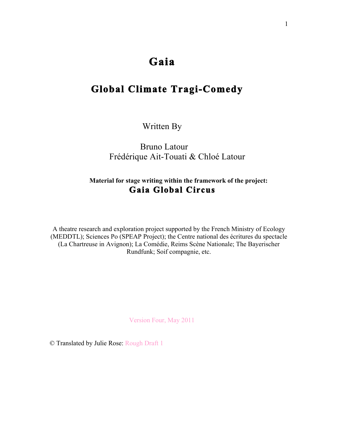# **Gaia**

# **Global Climate Tragi-Comedy**

Written By

 Bruno Latour Frédérique Ait-Touati & Chloé Latour

# **Material for stage writing within the framework of the project: Gaia Global Circus**

A theatre research and exploration project supported by the French Ministry of Ecology (MEDDTL); Sciences Po (SPEAP Project); the Centre national des écritures du spectacle (La Chartreuse in Avignon); La Comédie, Reims Scène Nationale; The Bayerischer Rundfunk; Soif compagnie, etc.

Version Four, May 2011

© Translated by Julie Rose: Rough Draft 1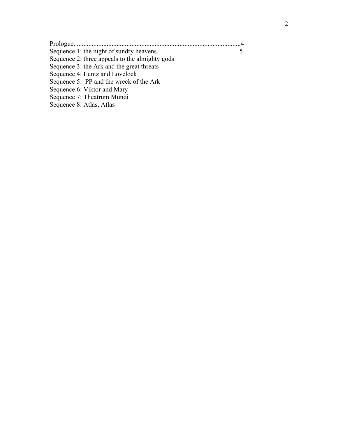| Sequence 1: the night of sundry heavens            |  |
|----------------------------------------------------|--|
| Sequence 2: three appeals to the almighty gods     |  |
| Sequence 3: the Ark and the great threats          |  |
| Sequence 4: Luntz and Lovelock                     |  |
| Sequence 5: PP and the wreck of the Ark            |  |
| Sequence 6: Viktor and Mary                        |  |
| $\alpha$ $\sigma$ $\pi$ $\alpha$ $\alpha$ $\alpha$ |  |

Sequence 7: Theatrum Mundi Sequence 8: Atlas, Atlas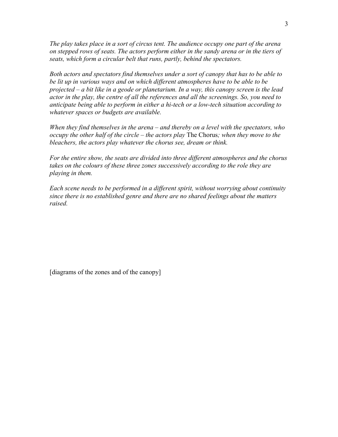*The play takes place in a sort of circus tent. The audience occupy one part of the arena on stepped rows of seats. The actors perform either in the sandy arena or in the tiers of seats, which form a circular belt that runs, partly, behind the spectators.*

*Both actors and spectators find themselves under a sort of canopy that has to be able to be lit up in various ways and on which different atmospheres have to be able to be projected – a bit like in a geode or planetarium. In a way, this canopy screen is the lead actor in the play, the centre of all the references and all the screenings. So, you need to anticipate being able to perform in either a hi-tech or a low-tech situation according to whatever spaces or budgets are available.*

*When they find themselves in the arena – and thereby on a level with the spectators, who occupy the other half of the circle – the actors play* The Chorus*; when they move to the bleachers, the actors play whatever the chorus see, dream or think.*

*For the entire show, the seats are divided into three different atmospheres and the chorus takes on the colours of these three zones successively according to the role they are playing in them.*

*Each scene needs to be performed in a different spirit, without worrying about continuity since there is no established genre and there are no shared feelings about the matters raised.*

[diagrams of the zones and of the canopy]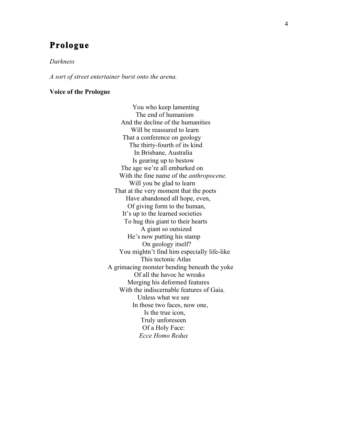# **Prologue**

#### *Darkness*

*A sort of street entertainer burst onto the arena.*

#### **Voice of the Prologue**

 You who keep lamenting The end of humanism And the decline of the humanities Will be reassured to learn That a conference on geology The thirty-fourth of its kind In Brisbane, Australia Is gearing up to bestow The age we're all embarked on With the fine name of the *anthropocene.* Will you be glad to learn That at the very moment that the poets Have abandoned all hope, even, Of giving form to the human, It's up to the learned societies To hug this giant to their hearts A giant so outsized He's now putting his stamp On geology itself? You mightn't find him especially life-like This tectonic Atlas A grimacing monster bending beneath the yoke Of all the havoc he wreaks Merging his deformed features With the indiscernable features of Gaia. Unless what we see In those two faces, now one, Is the true icon, Truly unforeseen Of a Holy Face: *Ecce Homo Redux*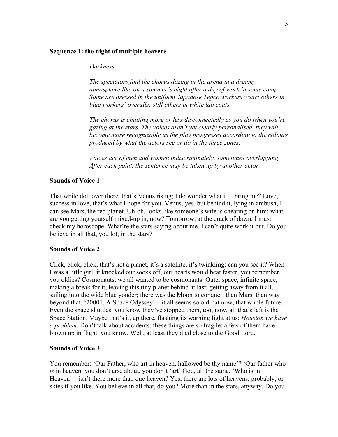#### **Sequence 1: the night of multiple heavens**

#### *Darkness*

*The spectators find the chorus dozing in the arena in a dreamy atmosphere like on a summer's night after a day of work in some camp. Some are dressed in the uniform Japanese Tepco workers wear; others in blue workers' overalls; still others in white lab coats.*

*The chorus is chatting more or less disconnectedly as you do when you're gazing at the stars. The voices aren't yet clearly personalised, they will become more recognizable as the play progresses according to the colours produced by what the actors see or do in the three zones.*

*Voices are of men and women indiscriminately, sometimes overlapping. After each point, the sentence may be taken up by another actor.*

#### **Sounds of Voice 1**

That white dot, over there, that's Venus rising; I do wonder what it'll bring me? Love, success in love, that's what I hope for you. Venus, yes, but behind it, lying in ambush, I can see Mars, the red planet. Uh-oh, looks like someone's wife is cheating on him; what are you getting yourself mixed-up in, now? Tomorrow, at the crack of dawn, I must check my horoscope. What're the stars saying about me, I can't quite work it out. Do you believe in all that, you lot, in the stars?

#### **Sounds of Voice 2**

Click, click, click, that's not a planet, it's a satellite, it's twinkling; can you see it? When I was a little girl, it knocked our socks off, our hearts would beat faster, you remember, you oldies? Cosmonauts, we all wanted to be cosmonauts. Outer space, infinite space, making a break for it, leaving this tiny planet behind at last; getting away from it all, sailing into the wide blue yonder; there was the Moon to conquer, then Mars, then way beyond that. '20001, A Space Odyssey' – it all seems so old-hat now, that whole future. Even the space shuttles, you know they've stopped them, too, now, all that's left is the Space Station. Maybe that's it, up there, flashing its warning light at us: *Houston we have a problem*. Don't talk about accidents, these things are so fragile; a few of them have blown up in flight, you know. Well, at least they died close to the Good Lord.

#### **Sounds of Voice 3**

You remember: 'Our Father, who art in heaven, hallowed be thy name'? 'Our father who *is* in heaven, you don't arse about, you don't 'art' God, all the same. 'Who is in Heaven' – isn't there more than one heaven? Yes, there are lots of heavens, probably, or skies if you like. You believe in all that, do you? More than in the stars, anyway. Do you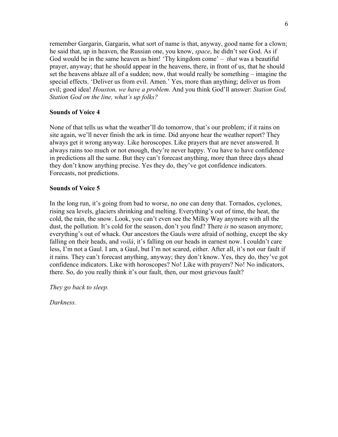remember Gargarin, Gargarin, what sort of name is that, anyway, good name for a clown; he said that, up in heaven, the Russian one, you know, *space*, he didn't see God. As if God would be in the same heaven as him! 'Thy kingdom come' – *that* was a beautiful prayer, anyway; that he should appear in the heavens, there, in front of us, that he should set the heavens ablaze all of a sudden; now, that would really be something – imagine the special effects. 'Deliver us from evil. Amen.' Yes, more than anything; deliver us from evil; good idea! *Houston, we have a problem*. And you think God'll answer: *Station God, Station God on the line, what's up folks?*

#### **Sounds of Voice 4**

None of that tells us what the weather'll do tomorrow, that's our problem; if it rains on site again, we'll never finish the ark in time. Did anyone hear the weather report? They always get it wrong anyway. Like horoscopes. Like prayers that are never answered. It always rains too much or not enough, they're never happy. You have to have confidence in predictions all the same. But they can't forecast anything, more than three days ahead they don't know anything precise. Yes they do, they've got confidence indicators. Forecasts, not predictions.

#### **Sounds of Voice 5**

In the long run, it's going from bad to worse, no one can deny that. Tornados, cyclones, rising sea levels, glaciers shrinking and melting. Everything's out of time, the heat, the cold, the rain, the snow. Look, you can't even see the Milky Way anymore with all the dust, the pollution. It's cold for the season, don't you find? There *is* no season anymore; everything's out of whack. Our ancestors the Gauls were afraid of nothing, except the sky falling on their heads, and *voilà*, it's falling on our heads in earnest now. I couldn't care less, I'm not a Gaul. I am, a Gaul, but I'm not scared, either. After all, it's not our fault if it rains. They can't forecast anything, anyway; they don't know. Yes, they do, they've got confidence indicators. Like with horoscopes? No! Like with prayers? No! No indicators, there. So, do you really think it's our fault, then, our most grievous fault?

*They go back to sleep.*

*Darkness.*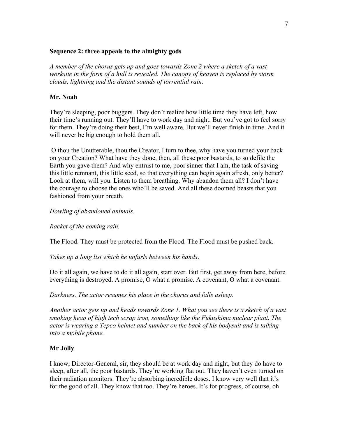#### **Sequence 2: three appeals to the almighty gods**

*A member of the chorus gets up and goes towards Zone 2 where a sketch of a vast worksite in the form of a hull is revealed. The canopy of heaven is replaced by storm clouds, lightning and the distant sounds of torrential rain.*

#### **Mr. Noah**

They're sleeping, poor buggers. They don't realize how little time they have left, how their time's running out. They'll have to work day and night. But you've got to feel sorry for them. They're doing their best, I'm well aware. But we'll never finish in time. And it will never be big enough to hold them all.

O thou the Unutterable, thou the Creator, I turn to thee, why have you turned your back on your Creation? What have they done, then, all these poor bastards, to so defile the Earth you gave them? And why entrust to me, poor sinner that I am, the task of saving this little remnant, this little seed, so that everything can begin again afresh, only better? Look at them, will you. Listen to them breathing. Why abandon them all? I don't have the courage to choose the ones who'll be saved. And all these doomed beasts that you fashioned from your breath.

### *Howling of abandoned animals.*

*Racket of the coming rain.*

The Flood. They must be protected from the Flood. The Flood must be pushed back.

*Takes up a long list which he unfurls between his hands*.

Do it all again, we have to do it all again, start over. But first, get away from here, before everything is destroyed. A promise, O what a promise. A covenant, O what a covenant.

*Darkness. The actor resumes his place in the chorus and falls asleep.*

*Another actor gets up and heads towards Zone 1. What you see there is a sketch of a vast smoking heap of high tech scrap iron, something like the Fukushima nuclear plant. The actor is wearing a Tepco helmet and number on the back of his bodysuit and is talking into a mobile phone.*

# **Mr Jolly**

I know, Director-General, sir, they should be at work day and night, but they do have to sleep, after all, the poor bastards. They're working flat out. They haven't even turned on their radiation monitors. They're absorbing incredible doses. I know very well that it's for the good of all. They know that too. They're heroes. It's for progress, of course, oh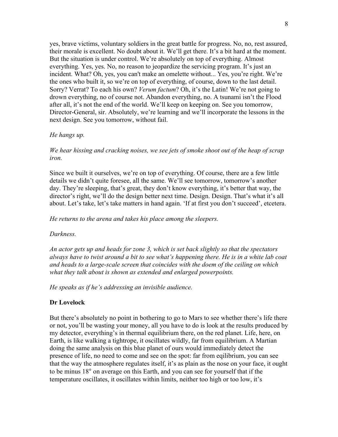yes, brave victims, voluntary soldiers in the great battle for progress. No, no, rest assured, their morale is excellent. No doubt about it. We'll get there. It's a bit hard at the moment. But the situation is under control. We're absolutely on top of everything. Almost everything. Yes, yes. No, no reason to jeopardize the servicing program. It's just an incident. What? Oh, yes, you can't make an omelette without... Yes, you're right. We're the ones who built it, so we're on top of everything, of course, down to the last detail. Sorry? Verrat? To each his own? *Verum factum*? Oh, it's the Latin! We're not going to drown everything, no of course not. Abandon everything, no. A tsunami isn't the Flood after all, it's not the end of the world. We'll keep on keeping on. See you tomorrow, Director-General, sir. Absolutely, we're learning and we'll incorporate the lessons in the next design. See you tomorrow, without fail.

#### *He hangs up.*

### *We hear hissing and cracking noises, we see jets of smoke shoot out of the heap of scrap iron.*

Since we built it ourselves, we're on top of everything. Of course, there are a few little details we didn't quite foresee, all the same. We'll see tomorrow, tomorrow's another day. They're sleeping, that's great, they don't know everything, it's better that way, the director's right, we'll do the design better next time. Design. Design. That's what it's all about. Let's take, let's take matters in hand again. 'If at first you don't succeed', etcetera.

#### *He returns to the arena and takes his place among the sleepers.*

#### *Darkness.*

*An actor gets up and heads for zone 3, which is set back slightly so that the spectators always have to twist around a bit to see what's happening there. He is in a white lab coat and heads to a large-scale screen that coincides with the doem of the ceiling on which what they talk about is shown as extended and enlarged powerpoints.*

*He speaks as if he's addressing an invisible audience.*

#### **Dr Lovelock**

But there's absolutely no point in bothering to go to Mars to see whether there's life there or not, you'll be wasting your money, all you have to do is look at the results produced by my detector, everything's in thermal equilibrium there, on the red planet. Life, here, on Earth, is like walking a tightrope, it oscillates wildly, far from equilibrium. A Martian doing the same analysis on this blue planet of ours would immediately detect the presence of life, no need to come and see on the spot: far from eqilibrium, you can see that the way the atmosphere regulates itself, it's as plain as the nose on your face, it ought to be minus 18° on average on this Earth, and you can see for yourself that if the temperature oscillates, it oscillates within limits, neither too high or too low, it's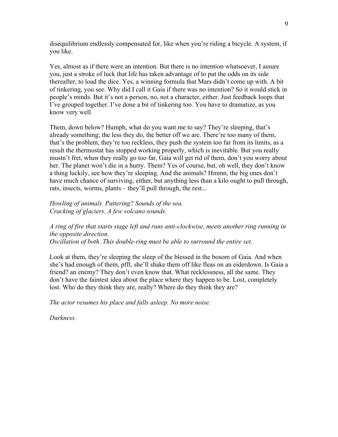disequilibrium endlessly compensated for, like when you're riding a bicycle. A system, if you like.

Yes, almost as if there were an intention. But there is no intention whatsoever, I assure you, just a stroke of luck that life has taken advantage of to put the odds on its side thereafter, to load the dice. Yes, a winning formula that Mars didn't come up with. A bit of tinkering, you see. Why did I call it Gaia if there was no intention? So it would stick in people's minds. But it's not a person, no, not a character, either. Just feedback loops that I've grouped together. I've done a bit of tinkering too. You have to dramatize, as you know very well.

Them, down below? Humph, what do you want me to say? They're sleeping, that's already something; the less they do, the better off we are. There're too many of them, that's the problem, they're too reckless, they push the system too far from its limits, as a result the thermostat has stopped working properly, which is inevitable. But you really mustn't fret, when they really go too far, Gaia will get rid of them, don't you worry about her. The planet won't die in a hurry. Them? Yes of course, but, oh well, they don't know a thing luckily, see how they're sleeping. And the animals? Hmmn, the big ones don't have much chance of surviving, either, but anything less than a kilo ought to pull through, rats, insects, worms, plants – they'll pull through, the rest...

*Howling of animals. Pattering? Sounds of the sea. Cracking of glaciers. A few volcano sounds.*

*A ring of fire that starts stage left and runs anti-clockwise, meets another ring running in the opposite direction. Oscillation of both. This double-ring must be able to surround the entire set.*

Look at them, they're sleeping the sleep of the blessed in the bosom of Gaia. And when she's had enough of them, pfft, she'll shake them off like fleas on an eiderdown. Is Gaia a friend? an enemy? They don't even know that. What recklessness, all the same. They don't have the faintest idea about the place where they happen to be. Lost, completely lost. Who do they think they are, really? Where do they think they are?

*The actor resumes his place and falls asleep. No more noise.*

*Darkness.*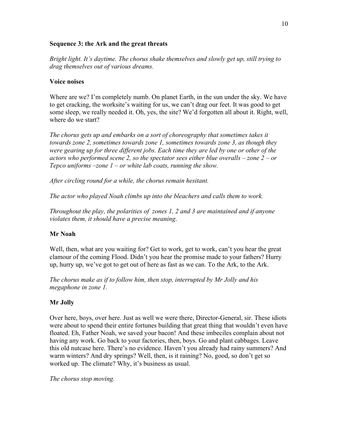#### **Sequence 3: the Ark and the great threats**

*Bright light. It's daytime. The chorus shake themselves and slowly get up, still trying to drag themselves out of various dreams.*

#### **Voice noises**

Where are we? I'm completely numb. On planet Earth, in the sun under the sky. We have to get cracking, the worksite's waiting for us, we can't drag our feet. It was good to get some sleep, we really needed it. Oh, yes, the site? We'd forgotten all about it. Right, well, where do we start?

*The chorus gets up and embarks on a sort of choreography that sometimes takes it towards zone 2, sometimes towards zone 1, sometimes towards zone 3, as though they were gearing up for three different jobs. Each time they are led by one or other of the actors who performed scene 2, so the spectator sees either blue overalls – zone 2 – or Tepco uniforms –zone 1 – or white lab coats, running the show.*

*After circling round for a while, the chorus remain hesitant.*

*The actor who played Noah climbs up into the bleachers and calls them to work.*

*Throughout the play, the polarities of zones 1, 2 and 3 are maintained and if anyone violates them, it should have a precise meaning*.

# **Mr Noah**

Well, then, what are you waiting for? Get to work, get to work, can't you hear the great clamour of the coming Flood. Didn't you hear the promise made to your fathers? Hurry up, hurry up, we've got to get out of here as fast as we can. To the Ark, to the Ark.

*The chorus make as if to follow him, then stop, interrupted by Mr Jolly and his megaphone in zone 1.*

# **Mr Jolly**

Over here, boys, over here. Just as well we were there, Director-General, sir. These idiots were about to spend their entire fortunes building that great thing that wouldn't even have floated. Eh, Father Noah, we saved your bacon! And these imbeciles complain about not having any work. Go back to your factories, then, boys. Go and plant cabbages. Leave this old nutcase here. There's no evidence. Haven't you already had rainy summers? And warm winters? And dry springs? Well, then, is it raining? No, good, so don't get so worked up. The climate? Why, it's business as usual.

*The chorus stop moving.*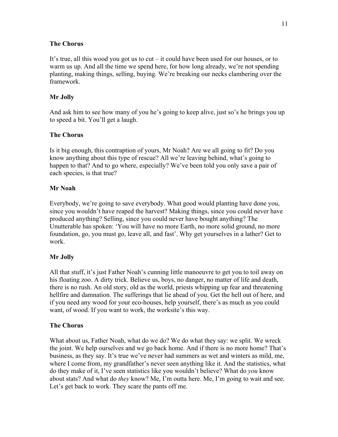### **The Chorus**

It's true, all this wood you got us to cut – it could have been used for our houses, or to warm us up. And all the time we spend here, for how long already, we're not spending planting, making things, selling, buying. We're breaking our necks clambering over the framework.

# **Mr Jolly**

And ask him to see how many of you he's going to keep alive, just so's he brings you up to speed a bit. You'll get a laugh.

### **The Chorus**

Is it big enough, this contraption of yours, Mr Noah? Are we all going to fit? Do you know anything about this type of rescue? All we're leaving behind, what's going to happen to that? And to go where, especially? We've been told you only save a pair of each species, is that true?

### **Mr Noah**

Everybody, we're going to save everybody. What good would planting have done you, since you wouldn't have reaped the harvest? Making things, since you could never have produced anything? Selling, since you could never have bought anything? The Unutterable has spoken: 'You will have no more Earth, no more solid ground, no more foundation, go, you must go, leave all, and fast'. Why get yourselves in a lather? Get to work.

# **Mr Jolly**

All that stuff, it's just Father Noah's cunning little manoeuvre to get you to toil away on his floating zoo. A dirty trick. Believe us, boys, no danger, no matter of life and death, there is no rush. An old story, old as the world, priests whipping up fear and threatening hellfire and damnation. The sufferings that lie ahead of you. Get the hell out of here, and if you need any wood for your eco-houses, help yourself, there's as much as you could want, of wood. If you want to work, the worksite's this way.

# **The Chorus**

What about us, Father Noah, what do we do? We do what they say: we split. We wreck the joint. We help ourselves and we go back home. And if there is no more home? That's business, as they say. It's true we've never had summers as wet and winters as mild, me, where I come from, my grandfather's never seen anything like it. And the statistics, what do they make of it, I've seen statistics like you wouldn't believe? What do *you* know about stats? And what do *they* know? Me, I'm outta here. Me, I'm going to wait and see. Let's get back to work. They scare the pants off me.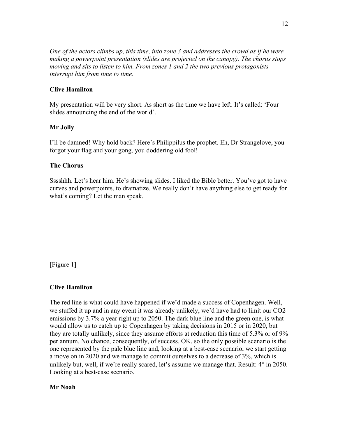*One of the actors climbs up, this time, into zone 3 and addresses the crowd as if he were making a powerpoint presentation (slides are projected on the canopy). The chorus stops moving and sits to listen to him. From zones 1 and 2 the two previous protagonists interrupt him from time to time.*

# **Clive Hamilton**

My presentation will be very short. As short as the time we have left. It's called: 'Four slides announcing the end of the world'.

### **Mr Jolly**

I'll be damned! Why hold back? Here's Philippilus the prophet. Eh, Dr Strangelove, you forgot your flag and your gong, you doddering old fool!

#### **The Chorus**

Sssshhh. Let's hear him. He's showing slides. I liked the Bible better. You've got to have curves and powerpoints, to dramatize. We really don't have anything else to get ready for what's coming? Let the man speak.

[Figure 1]

#### **Clive Hamilton**

The red line is what could have happened if we'd made a success of Copenhagen. Well, we stuffed it up and in any event it was already unlikely, we'd have had to limit our CO2 emissions by 3.7% a year right up to 2050. The dark blue line and the green one, is what would allow us to catch up to Copenhagen by taking decisions in 2015 or in 2020, but they are totally unlikely, since they assume efforts at reduction this time of 5.3% or of 9% per annum. No chance, consequently, of success. OK, so the only possible scenario is the one represented by the pale blue line and, looking at a best-case scenario, we start getting a move on in 2020 and we manage to commit ourselves to a decrease of 3%, which is unlikely but, well, if we're really scared, let's assume we manage that. Result: 4° in 2050. Looking at a best-case scenario.

#### **Mr Noah**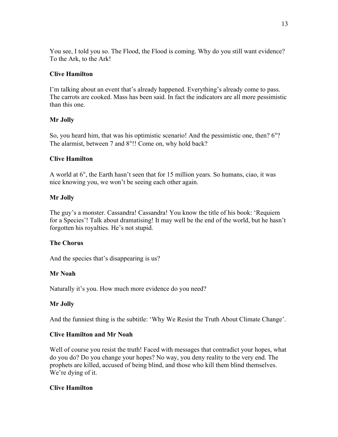You see, I told you so. The Flood, the Flood is coming. Why do you still want evidence? To the Ark, to the Ark!

# **Clive Hamilton**

I'm talking about an event that's already happened. Everything's already come to pass. The carrots are cooked. Mass has been said. In fact the indicators are all more pessimistic than this one.

# **Mr Jolly**

So, you heard him, that was his optimistic scenario! And the pessimistic one, then? 6°? The alarmist, between 7 and 8°!! Come on, why hold back?

# **Clive Hamilton**

A world at 6°, the Earth hasn't seen that for 15 million years. So humans, ciao, it was nice knowing you, we won't be seeing each other again.

# **Mr Jolly**

The guy's a monster. Cassandra! Cassandra! You know the title of his book: 'Requiem for a Species'! Talk about dramatising! It may well be the end of the world, but he hasn't forgotten his royalties. He's not stupid.

# **The Chorus**

And the species that's disappearing is us?

# **Mr Noah**

Naturally it's you. How much more evidence do you need?

# **Mr Jolly**

And the funniest thing is the subtitle: 'Why We Resist the Truth About Climate Change'.

# **Clive Hamilton and Mr Noah**

Well of course you resist the truth! Faced with messages that contradict your hopes, what do you do? Do you change your hopes? No way, you deny reality to the very end. The prophets are killed, accused of being blind, and those who kill them blind themselves. We're dying of it.

# **Clive Hamilton**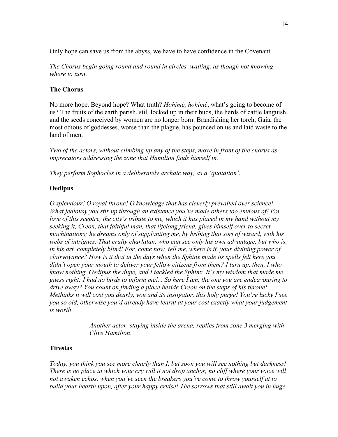Only hope can save us from the abyss, we have to have confidence in the Covenant.

*The Chorus begin going round and round in circles, wailing, as though not knowing where to turn*.

# **The Chorus**

No more hope. Beyond hope? What truth? *Hohimé, hohimé*, what's going to become of us? The fruits of the earth perish, still locked up in their buds, the herds of cattle languish, and the seeds conceived by women are no longer born. Brandishing her torch, Gaia, the most odious of goddesses, worse than the plague, has pounced on us and laid waste to the land of men.

*Two of the actors, without climbing up any of the steps, move in front of the chorus as imprecators addressing the zone that Hamilton finds himself in.*

*They perform Sophocles in a deliberately archaic way, as a 'quotation'*.

# **Oedipus**

*O splendour! O royal throne! O knowledge that has cleverly prevailed over science! What jealousy you stir up through an existence you've made others too envious of! For love of this sceptre, the city's tribute to me, which it has placed in my hand without my seeking it, Creon, that faithful man, that lifelong friend, gives himself over to secret machinations; he dreams only of supplanting me, by bribing that sort of wizard, with his webs of intrigues. That crafty charlatan, who can see only his own advantage, but who is, in his art, completely blind! For, come now, tell me, where is it, your divining power of clairvoyance? How is it that in the days when the Sphinx made its spells felt here you didn't open your mouth to deliver your fellow citizens from them? I turn up, then, I who know nothing, Oedipus the dupe, and I tackled the Sphinx. It's my wisdom that made me guess right: I had no birds to inform me!... So here I am, the one you are endeavouring to drive away? You count on finding a place beside Creon on the steps of his throne! Methinks it will cost you dearly, you and its instigator, this holy purge! You're lucky I see you so old, otherwise you'd already have learnt at your cost exactly what your judgement is worth*.

> *Another actor, staying inside the arena, replies from zone 3 merging with Clive Hamilton*.

# **Tiresias**

*Today, you think you see more clearly than I, but soon you will see nothing but darkness! There is no place in which your cry will it not drop anchor, no cliff where your voice will not awaken echos, when you've seen the breakers you've come to throw yourself at to build your hearth upon, after your happy cruise! The sorrows that still await you in huge*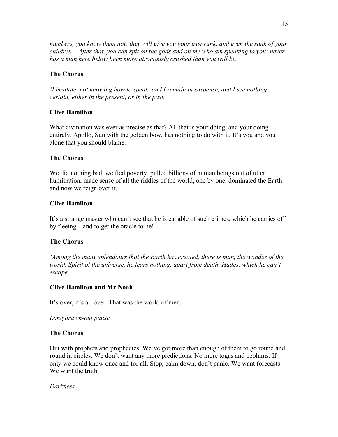*numbers, you know them not: they will give you your true rank, and even the rank of your children – After that, you can spit on the gods and on me who am speaking to you: never has a man here below been more atrociously crushed than you will be.*

# **The Chorus**

*'I hesitate, not knowing how to speak, and I remain in suspense, and I see nothing certain, either in the present, or in the past.'*

# **Clive Hamilton**

What divination was ever as precise as that? All that is your doing, and your doing entirely. Apollo, Sun with the golden bow, has nothing to do with it. It's you and you alone that you should blame.

# **The Chorus**

We did nothing bad, we fled poverty, pulled billions of human beings out of utter humiliation, made sense of all the riddles of the world, one by one, dominated the Earth and now we reign over it.

# **Clive Hamilton**

It's a strange master who can't see that he is capable of such crimes, which he carries off by fleeing – and to get the oracle to lie!

# **The Chorus**

*'Among the many splendours that the Earth has created, there is man, the wonder of the world. Spirit of the universe, he fears nothing, apart from death, Hades, which he can't escape.'*

# **Clive Hamilton and Mr Noah**

It's over, it's all over. That was the world of men.

*Long drawn-out pause.*

# **The Chorus**

Out with prophets and prophecies. We've got more than enough of them to go round and round in circles. We don't want any more predictions. No more togas and peplums. If only we could know once and for all. Stop, calm down, don't panic. We want forecasts. We want the truth.

*Darkness.*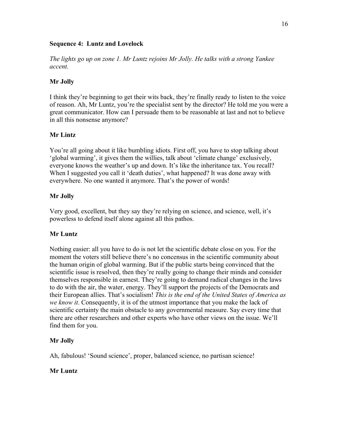#### **Sequence 4: Luntz and Lovelock**

*The lights go up on zone 1. Mr Luntz rejoins Mr Jolly. He talks with a strong Yankee accent.*

# **Mr Jolly**

I think they're beginning to get their wits back, they're finally ready to listen to the voice of reason. Ah, Mr Luntz, you're the specialist sent by the director? He told me you were a great communicator. How can I persuade them to be reasonable at last and not to believe in all this nonsense anymore?

# **Mr Lintz**

You're all going about it like bumbling idiots. First off, you have to stop talking about 'global warming', it gives them the willies, talk about 'climate change' exclusively, everyone knows the weather's up and down. It's like the inheritance tax. You recall? When I suggested you call it 'death duties', what happened? It was done away with everywhere. No one wanted it anymore. That's the power of words!

# **Mr Jolly**

Very good, excellent, but they say they're relying on science, and science, well, it's powerless to defend itself alone against all this pathos.

# **Mr Luntz**

Nothing easier: all you have to do is not let the scientific debate close on you. For the moment the voters still believe there's no concensus in the scientific community about the human origin of global warming. But if the public starts being convinced that the scientific issue is resolved, then they're really going to change their minds and consider themselves responsible in earnest. They're going to demand radical changes in the laws to do with the air, the water, energy. They'll support the projects of the Democrats and their European allies. That's socialism! *This is the end of the United States of America as we know it*. Consequently, it is of the utmost importance that you make the lack of scientific certainty the main obstacle to any governmental measure. Say every time that there are other researchers and other experts who have other views on the issue. We'll find them for you.

# **Mr Jolly**

Ah, fabulous! 'Sound science', proper, balanced science, no partisan science!

# **Mr Luntz**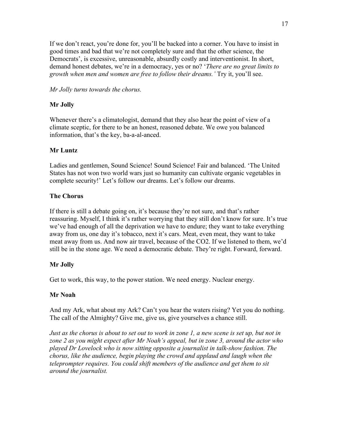If we don't react, you're done for, you'll be backed into a corner. You have to insist in good times and bad that we're not completely sure and that the other science, the Democrats', is excessive, unreasonable, absurdly costly and interventionist. In short, demand honest debates, we're in a democracy, yes or no? '*There are no great limits to growth when men and women are free to follow their dreams.'* Try it, you'll see.

*Mr Jolly turns towards the chorus.*

# **Mr Jolly**

Whenever there's a climatologist, demand that they also hear the point of view of a climate sceptic, for there to be an honest, reasoned debate. We owe you balanced information, that's the key, ba-a-al-anced.

# **Mr Luntz**

Ladies and gentlemen, Sound Science! Sound Science! Fair and balanced. 'The United States has not won two world wars just so humanity can cultivate organic vegetables in complete security!' Let's follow our dreams. Let's follow our dreams.

# **The Chorus**

If there is still a debate going on, it's because they're not sure, and that's rather reassuring. Myself, I think it's rather worrying that they still don't know for sure. It's true we've had enough of all the deprivation we have to endure; they want to take everything away from us, one day it's tobacco, next it's cars. Meat, even meat, they want to take meat away from us. And now air travel, because of the CO2. If we listened to them, we'd still be in the stone age. We need a democratic debate. They're right. Forward, forward.

# **Mr Jolly**

Get to work, this way, to the power station. We need energy. Nuclear energy.

#### **Mr Noah**

And my Ark, what about my Ark? Can't you hear the waters rising? Yet you do nothing. The call of the Almighty? Give me, give us, give yourselves a chance still.

*Just as the chorus is about to set out to work in zone 1, a new scene is set up, but not in zone 2 as you might expect after Mr Noah's appeal, but in zone 3, around the actor who played Dr Lovelock who is now sitting opposite a journalist in talk-show fashion. The chorus, like the audience, begin playing the crowd and applaud and laugh when the teleprompter requires. You could shift members of the audience and get them to sit around the journalist.*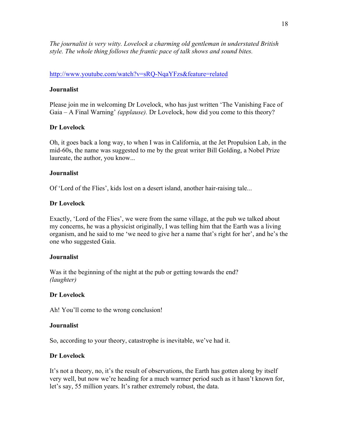*The journalist is very witty. Lovelock a charming old gentleman in understated British style. The whole thing follows the frantic pace of talk shows and sound bites.*

### http://www.youtube.com/watch?v=sRQ-NqaYFzs&feature=related

### **Journalist**

Please join me in welcoming Dr Lovelock, who has just written 'The Vanishing Face of Gaia – A Final Warning' *(applause).* Dr Lovelock, how did you come to this theory?

### **Dr Lovelock**

Oh, it goes back a long way, to when I was in California, at the Jet Propulsion Lab, in the mid-60s, the name was suggested to me by the great writer Bill Golding, a Nobel Prize laureate, the author, you know...

#### **Journalist**

Of 'Lord of the Flies', kids lost on a desert island, another hair-raising tale...

### **Dr Lovelock**

Exactly, 'Lord of the Flies', we were from the same village, at the pub we talked about my concerns, he was a physicist originally, I was telling him that the Earth was a living organism, and he said to me 'we need to give her a name that's right for her', and he's the one who suggested Gaia.

#### **Journalist**

Was it the beginning of the night at the pub or getting towards the end? *(laughter)*

#### **Dr Lovelock**

Ah! You'll come to the wrong conclusion!

#### **Journalist**

So, according to your theory, catastrophe is inevitable, we've had it.

#### **Dr Lovelock**

It's not a theory, no, it's the result of observations, the Earth has gotten along by itself very well, but now we're heading for a much warmer period such as it hasn't known for, let's say, 55 million years. It's rather extremely robust, the data.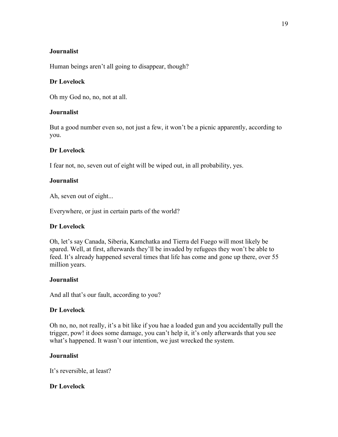### **Journalist**

Human beings aren't all going to disappear, though?

### **Dr Lovelock**

Oh my God no, no, not at all.

### **Journalist**

But a good number even so, not just a few, it won't be a picnic apparently, according to you.

### **Dr Lovelock**

I fear not, no, seven out of eight will be wiped out, in all probability, yes.

### **Journalist**

Ah, seven out of eight...

Everywhere, or just in certain parts of the world?

#### **Dr Lovelock**

Oh, let's say Canada, Siberia, Kamchatka and Tierra del Fuego will most likely be spared. Well, at first, afterwards they'll be invaded by refugees they won't be able to feed. It's already happened several times that life has come and gone up there, over 55 million years.

#### **Journalist**

And all that's our fault, according to you?

#### **Dr Lovelock**

Oh no, no, not really, it's a bit like if you hae a loaded gun and you accidentally pull the trigger, pow! it does some damage, you can't help it, it's only afterwards that you see what's happened. It wasn't our intention, we just wrecked the system.

#### **Journalist**

It's reversible, at least?

# **Dr Lovelock**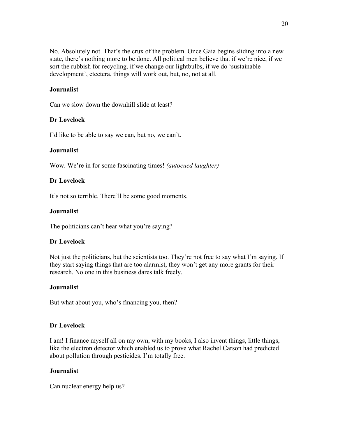No. Absolutely not. That's the crux of the problem. Once Gaia begins sliding into a new state, there's nothing more to be done. All political men believe that if we're nice, if we sort the rubbish for recycling, if we change our lightbulbs, if we do 'sustainable development', etcetera, things will work out, but, no, not at all.

# **Journalist**

Can we slow down the downhill slide at least?

### **Dr Lovelock**

I'd like to be able to say we can, but no, we can't.

#### **Journalist**

Wow. We're in for some fascinating times! *(autocued laughter)*

### **Dr Lovelock**

It's not so terrible. There'll be some good moments.

#### **Journalist**

The politicians can't hear what you're saying?

#### **Dr Lovelock**

Not just the politicians, but the scientists too. They're not free to say what I'm saying. If they start saying things that are too alarmist, they won't get any more grants for their research. No one in this business dares talk freely.

#### **Journalist**

But what about you, who's financing you, then?

#### **Dr Lovelock**

I am! I finance myself all on my own, with my books, I also invent things, little things, like the electron detector which enabled us to prove what Rachel Carson had predicted about pollution through pesticides. I'm totally free.

# **Journalist**

Can nuclear energy help us?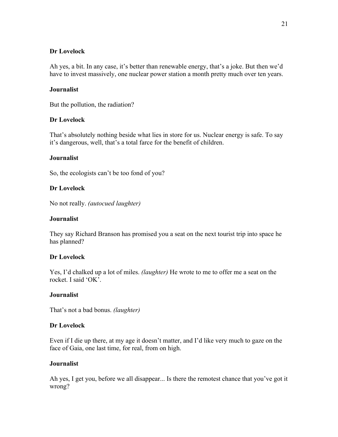#### **Dr Lovelock**

Ah yes, a bit. In any case, it's better than renewable energy, that's a joke. But then we'd have to invest massively, one nuclear power station a month pretty much over ten years.

### **Journalist**

But the pollution, the radiation?

### **Dr Lovelock**

That's absolutely nothing beside what lies in store for us. Nuclear energy is safe. To say it's dangerous, well, that's a total farce for the benefit of children.

### **Journalist**

So, the ecologists can't be too fond of you?

### **Dr Lovelock**

No not really. *(autocued laughter)*

#### **Journalist**

They say Richard Branson has promised you a seat on the next tourist trip into space he has planned?

#### **Dr Lovelock**

Yes, I'd chalked up a lot of miles. *(laughter)* He wrote to me to offer me a seat on the rocket. I said 'OK'.

#### **Journalist**

That's not a bad bonus. *(laughter)*

#### **Dr Lovelock**

Even if I die up there, at my age it doesn't matter, and I'd like very much to gaze on the face of Gaia, one last time, for real, from on high.

#### **Journalist**

Ah yes, I get you, before we all disappear... Is there the remotest chance that you've got it wrong?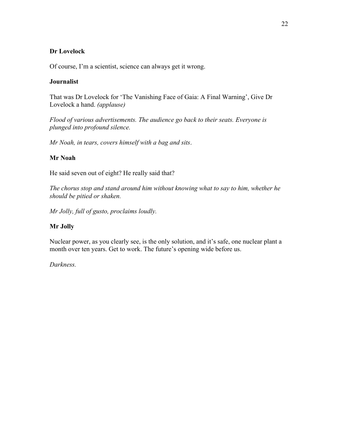### **Dr Lovelock**

Of course, I'm a scientist, science can always get it wrong.

### **Journalist**

That was Dr Lovelock for 'The Vanishing Face of Gaia: A Final Warning', Give Dr Lovelock a hand. *(applause)*

*Flood of various advertisements. The audience go back to their seats. Everyone is plunged into profound silence.*

*Mr Noah, in tears, covers himself with a bag and sits*.

# **Mr Noah**

He said seven out of eight? He really said that?

*The chorus stop and stand around him without knowing what to say to him, whether he should be pitied or shaken.*

*Mr Jolly, full of gusto, proclaims loudly.*

# **Mr Jolly**

Nuclear power, as you clearly see, is the only solution, and it's safe, one nuclear plant a month over ten years. Get to work. The future's opening wide before us.

*Darkness.*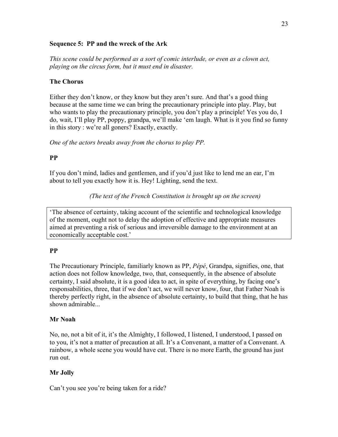#### **Sequence 5: PP and the wreck of the Ark**

*This scene could be performed as a sort of comic interlude, or even as a clown act, playing on the circus form, but it must end in disaster.*

### **The Chorus**

Either they don't know, or they know but they aren't sure. And that's a good thing because at the same time we can bring the precautionary principle into play. Play, but who wants to play the precautionary principle, you don't play a principle! Yes you do, I do, wait, I'll play PP, poppy, grandpa, we'll make 'em laugh. What is it you find so funny in this story : we're all goners? Exactly, exactly.

*One of the actors breaks away from the chorus to play PP.*

# **PP**

If you don't mind, ladies and gentlemen, and if you'd just like to lend me an ear, I'm about to tell you exactly how it is. Hey! Lighting, send the text.

*(The text of the French Constitution is brought up on the screen)*

'The absence of certainty, taking account of the scientific and technological knowledge of the moment, ought not to delay the adoption of effective and appropriate measures aimed at preventing a risk of serious and irreversible damage to the environment at an economically acceptable cost.'

# **PP**

The Precautionary Principle, familiarly known as PP, *Pépé*, Grandpa, signifies, one, that action does not follow knowledge, two, that, consequently, in the absence of absolute certainty, I said absolute, it is a good idea to act, in spite of everything, by facing one's responsabilities, three, that if we don't act, we will never know, four, that Father Noah is thereby perfectly right, in the absence of absolute certainty, to build that thing, that he has shown admirable...

#### **Mr Noah**

No, no, not a bit of it, it's the Almighty, I followed, I listened, I understood, I passed on to you, it's not a matter of precaution at all. It's a Convenant, a matter of a Convenant. A rainbow, a whole scene you would have cut. There is no more Earth, the ground has just run out.

# **Mr Jolly**

Can't you see you're being taken for a ride?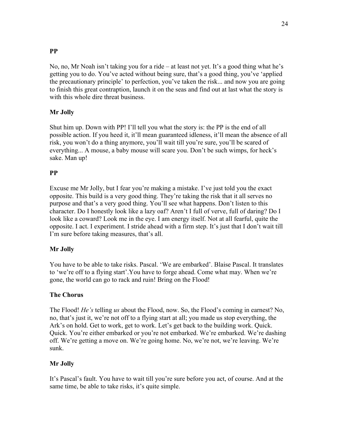# **PP**

No, no, Mr Noah isn't taking you for a ride – at least not yet. It's a good thing what he's getting you to do. You've acted without being sure, that's a good thing, you've 'applied the precautionary principle' to perfection, you've taken the risk... and now you are going to finish this great contraption, launch it on the seas and find out at last what the story is with this whole dire threat business.

# **Mr Jolly**

Shut him up. Down with PP! I'll tell you what the story is: the PP is the end of all possible action. If you heed it, it'll mean guaranteed idleness, it'll mean the absence of all risk, you won't do a thing anymore, you'll wait till you're sure, you'll be scared of everything... A mouse, a baby mouse will scare you. Don't be such wimps, for heck's sake. Man up!

# **PP**

Excuse me Mr Jolly, but I fear you're making a mistake. I've just told you the exact opposite. This build is a very good thing. They're taking the risk that it all serves no purpose and that's a very good thing. You'll see what happens. Don't listen to this character. Do I honestly look like a lazy oaf? Aren't I full of verve, full of daring? Do I look like a coward? Look me in the eye. I am energy itself. Not at all fearful, quite the opposite. I act. I experiment. I stride ahead with a firm step. It's just that I don't wait till I'm sure before taking measures, that's all.

# **Mr Jolly**

You have to be able to take risks. Pascal. 'We are embarked'. Blaise Pascal. It translates to 'we're off to a flying start'.You have to forge ahead. Come what may. When we're gone, the world can go to rack and ruin! Bring on the Flood!

# **The Chorus**

The Flood! *He's* telling *us* about the Flood, now. So, the Flood's coming in earnest? No, no, that's just it, we're not off to a flying start at all; you made us stop everything, the Ark's on hold. Get to work, get to work. Let's get back to the building work. Quick. Quick. You're either embarked or you're not embarked. We're embarked. We're dashing off. We're getting a move on. We're going home. No, we're not, we're leaving. We're sunk.

# **Mr Jolly**

It's Pascal's fault. You have to wait till you're sure before you act, of course. And at the same time, be able to take risks, it's quite simple.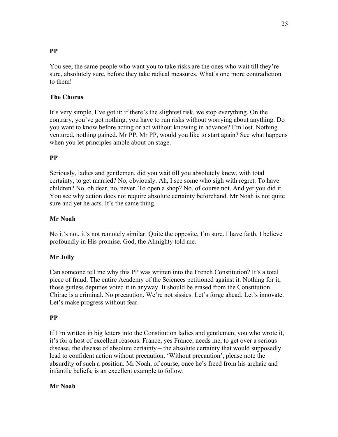# **PP**

You see, the same people who want you to take risks are the ones who wait till they're sure, absolutely sure, before they take radical measures. What's one more contradiction to them!

# **The Chorus**

It's very simple, I've got it: if there's the slightest risk, we stop everything. On the contrary, you've got nothing, you have to run risks without worrying about anything. Do you want to know before acting or act without knowing in advance? I'm lost. Nothing ventured, nothing gained. Mr PP, Mr PP, would you like to start again? See what happens when you let principles amble about on stage.

# **PP**

Seriously, ladies and gentlemen, did you wait till you absolutely knew, with total certainty, to get married? No, obviously. Ah, I see some who sigh with regret. To have children? No, oh dear, no, never. To open a shop? No, of course not. And yet you did it. You see why action does not require absolute certainty beforehand. Mr Noah is not quite sure and yet he acts. It's the same thing.

# **Mr Noah**

No it's not, it's not remotely similar. Quite the opposite, I'm sure. I have faith. I believe profoundly in His promise. God, the Almighty told me.

# **Mr Jolly**

Can someone tell me why this PP was written into the French Constitution? It's a total piece of fraud. The entire Academy of the Sciences petitioned against it. Nothing for it, those gutless deputies voted it in anyway. It should be erased from the Constitution. Chirac is a criminal. No precaution. We're not sissies. Let's forge ahead. Let's innovate. Let's make progress without fear.

# **PP**

If I'm written in big letters into the Constitution ladies and gentlemen, you who wrote it, it's for a host of excellent reasons. France, yes France, needs me, to get over a serious disease, the disease of absolute certainty – the absolute certainty that would supposedly lead to confident action without precaution. 'Without precaution', please note the absurdity of such a position. Mr Noah, of course, once he's freed from his archaic and infantile beliefs, is an excellent example to follow.

# **Mr Noah**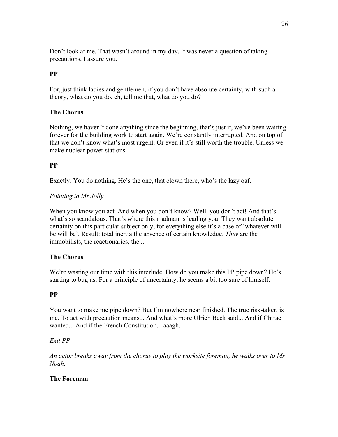Don't look at me. That wasn't around in my day. It was never a question of taking precautions, I assure you.

# **PP**

For, just think ladies and gentlemen, if you don't have absolute certainty, with such a theory, what do you do, eh, tell me that, what do you do?

# **The Chorus**

Nothing, we haven't done anything since the beginning, that's just it, we've been waiting forever for the building work to start again. We're constantly interrupted. And on top of that we don't know what's most urgent. Or even if it's still worth the trouble. Unless we make nuclear power stations.

# **PP**

Exactly. You do nothing. He's the one, that clown there, who's the lazy oaf.

# *Pointing to Mr Jolly.*

When you know you act. And when you don't know? Well, you don't act! And that's what's so scandalous. That's where this madman is leading you. They want absolute certainty on this particular subject only, for everything else it's a case of 'whatever will be will be'. Result: total inertia the absence of certain knowledge. *They* are the immobilists, the reactionaries, the...

# **The Chorus**

We're wasting our time with this interlude. How do you make this PP pipe down? He's starting to bug us. For a principle of uncertainty, he seems a bit too sure of himself.

#### **PP**

You want to make me pipe down? But I'm nowhere near finished. The true risk-taker, is me. To act with precaution means... And what's more Ulrich Beck said... And if Chirac wanted... And if the French Constitution... aaagh.

# *Exit PP*

*An actor breaks away from the chorus to play the worksite foreman, he walks over to Mr Noah.*

# **The Foreman**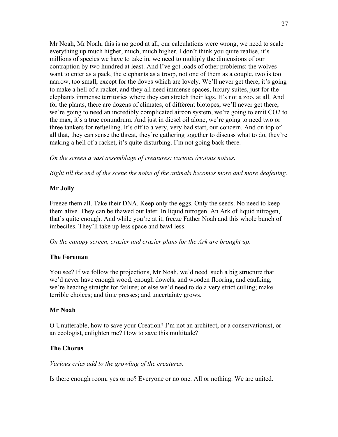Mr Noah, Mr Noah, this is no good at all, our calculations were wrong, we need to scale everything up much higher, much, much higher. I don't think you quite realise, it's millions of species we have to take in, we need to multiply the dimensions of our contraption by two hundred at least. And I've got loads of other problems: the wolves want to enter as a pack, the elephants as a troop, not one of them as a couple, two is too narrow, too small, except for the doves which are lovely. We'll never get there, it's going to make a hell of a racket, and they all need immense spaces, luxury suites, just for the elephants immense territories where they can stretch their legs. It's not a zoo, at all. And for the plants, there are dozens of climates, of different biotopes, we'll never get there, we're going to need an incredibly complicated aircon system, we're going to emit CO2 to the max, it's a true conundrum. And just in diesel oil alone, we're going to need two or three tankers for refuelling. It's off to a very, very bad start, our concern. And on top of all that, they can sense the threat, they're gathering together to discuss what to do, they're making a hell of a racket, it's quite disturbing. I'm not going back there.

*On the screen a vast assemblage of creatures: various /riotous noises.*

*Right till the end of the scene the noise of the animals becomes more and more deafening.*

# **Mr Jolly**

Freeze them all. Take their DNA. Keep only the eggs. Only the seeds. No need to keep them alive. They can be thawed out later. In liquid nitrogen. An Ark of liquid nitrogen, that's quite enough. And while you're at it, freeze Father Noah and this whole bunch of imbeciles. They'll take up less space and bawl less.

*On the canopy screen, crazier and crazier plans for the Ark are brought up*.

# **The Foreman**

You see? If we follow the projections, Mr Noah, we'd need such a big structure that we'd never have enough wood, enough dowels, and wooden flooring, and caulking, we're heading straight for failure; or else we'd need to do a very strict culling; make terrible choices; and time presses; and uncertainty grows.

# **Mr Noah**

O Unutterable, how to save your Creation? I'm not an architect, or a conservationist, or an ecologist, enlighten me? How to save this multitude?

# **The Chorus**

*Various cries add to the growling of the creatures.*

Is there enough room, yes or no? Everyone or no one. All or nothing. We are united.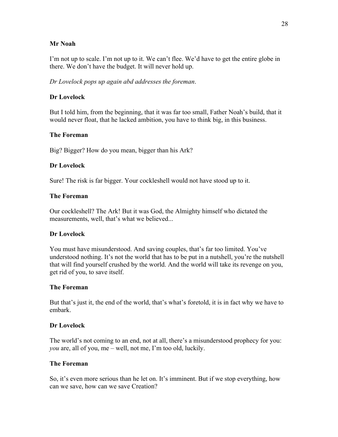#### **Mr Noah**

I'm not up to scale. I'm not up to it. We can't flee. We'd have to get the entire globe in there. We don't have the budget. It will never hold up.

*Dr Lovelock pops up again abd addresses the foreman*.

### **Dr Lovelock**

But I told him, from the beginning, that it was far too small, Father Noah's build, that it would never float, that he lacked ambition, you have to think big, in this business.

### **The Foreman**

Big? Bigger? How do you mean, bigger than his Ark?

### **Dr Lovelock**

Sure! The risk is far bigger. Your cockleshell would not have stood up to it.

#### **The Foreman**

Our cockleshell? The Ark! But it was God, the Almighty himself who dictated the measurements, well, that's what we believed...

#### **Dr Lovelock**

You must have misunderstood. And saving couples, that's far too limited. You've understood nothing. It's not the world that has to be put in a nutshell, you're the nutshell that will find yourself crushed by the world. And the world will take its revenge on you, get rid of you, to save itself.

#### **The Foreman**

But that's just it, the end of the world, that's what's foretold, it is in fact why we have to embark.

#### **Dr Lovelock**

The world's not coming to an end, not at all, there's a misunderstood prophecy for you: *you* are, all of you, me – well, not me, I'm too old, luckily.

#### **The Foreman**

So, it's even more serious than he let on. It's imminent. But if we stop everything, how can we save, how can we save Creation?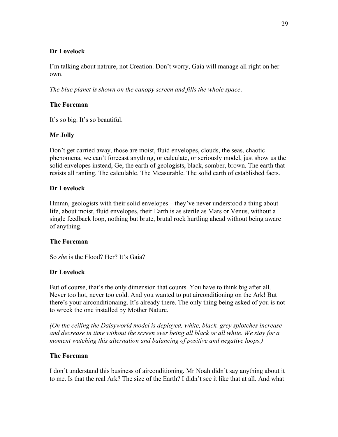### **Dr Lovelock**

I'm talking about natrure, not Creation. Don't worry, Gaia will manage all right on her own.

*The blue planet is shown on the canopy screen and fills the whole space*.

# **The Foreman**

It's so big. It's so beautiful.

# **Mr Jolly**

Don't get carried away, those are moist, fluid envelopes, clouds, the seas, chaotic phenomena, we can't forecast anything, or calculate, or seriously model, just show us the solid envelopes instead, Ge, the earth of geologists, black, somber, brown. The earth that resists all ranting. The calculable. The Measurable. The solid earth of established facts.

### **Dr Lovelock**

Hmmn, geologists with their solid envelopes – they've never understood a thing about life, about moist, fluid envelopes, their Earth is as sterile as Mars or Venus, without a single feedback loop, nothing but brute, brutal rock hurtling ahead without being aware of anything.

#### **The Foreman**

So *she* is the Flood? Her? It's Gaia?

# **Dr Lovelock**

But of course, that's the only dimension that counts. You have to think big after all. Never too hot, never too cold. And you wanted to put airconditioning on the Ark! But there's your airconditionaing. It's already there. The only thing being asked of you is not to wreck the one installed by Mother Nature.

*(On the ceiling the Daisyworld model is deployed, white, black, grey splotches increase and decrease in time without the screen ever being all black or all white. We stay for a moment watching this alternation and balancing of positive and negative loops.)*

#### **The Foreman**

I don't understand this business of airconditioning. Mr Noah didn't say anything about it to me. Is that the real Ark? The size of the Earth? I didn't see it like that at all. And what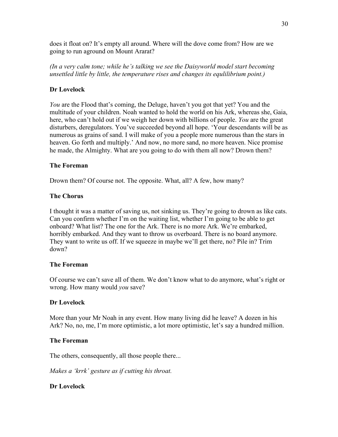does it float on? It's empty all around. Where will the dove come from? How are we going to run aground on Mount Ararat?

*(In a very calm tone; while he's talking we see the Daisyworld model start becoming unsettled little by little, the temperature rises and changes its equlilibrium point.)*

### **Dr Lovelock**

*You* are the Flood that's coming, the Deluge, haven't you got that yet? You and the multitude of your children. Noah wanted to hold the world on his Ark, whereas she, Gaia, here, who can't hold out if we weigh her down with billions of people. *You* are the great disturbers, deregulators. You've succeeded beyond all hope. 'Your descendants will be as numerous as grains of sand. I will make of you a people more numerous than the stars in heaven. Go forth and multiply.' And now, no more sand, no more heaven. Nice promise he made, the Almighty. What are you going to do with them all now? Drown them?

#### **The Foreman**

Drown them? Of course not. The opposite. What, all? A few, how many?

#### **The Chorus**

I thought it was a matter of saving us, not sinking us. They're going to drown as like cats. Can you confirm whether I'm on the waiting list, whether I'm going to be able to get onboard? What list? The one for the Ark. There is no more Ark. We're embarked, horribly embarked. And they want to throw us overboard. There is no board anymore. They want to write us off. If we squeeze in maybe we'll get there, no? Pile in? Trim down?

#### **The Foreman**

Of course we can't save all of them. We don't know what to do anymore, what's right or wrong. How many would *you* save?

#### **Dr Lovelock**

More than your Mr Noah in any event. How many living did he leave? A dozen in his Ark? No, no, me, I'm more optimistic, a lot more optimistic, let's say a hundred million.

#### **The Foreman**

The others, consequently, all those people there...

*Makes a 'krrk' gesture as if cutting his throat.*

#### **Dr Lovelock**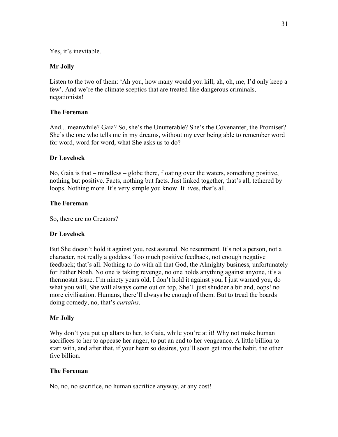Yes, it's inevitable.

#### **Mr Jolly**

Listen to the two of them: 'Ah you, how many would you kill, ah, oh, me, I'd only keep a few'. And we're the climate sceptics that are treated like dangerous criminals, negationists!

#### **The Foreman**

And... meanwhile? Gaia? So, she's the Unutterable? She's the Covenanter, the Promiser? She's the one who tells me in my dreams, without my ever being able to remember word for word, word for word, what She asks us to do?

#### **Dr Lovelock**

No, Gaia is that – mindless – globe there, floating over the waters, something positive, nothing but positive. Facts, nothing but facts. Just linked together, that's all, tethered by loops. Nothing more. It's very simple you know. It lives, that's all.

#### **The Foreman**

So, there are no Creators?

#### **Dr Lovelock**

But She doesn't hold it against you, rest assured. No resentment. It's not a person, not a character, not really a goddess. Too much positive feedback, not enough negative feedback; that's all. Nothing to do with all that God, the Almighty business, unfortunately for Father Noah. No one is taking revenge, no one holds anything against anyone, it's a thermostat issue. I'm ninety years old, I don't hold it against you, I just warned you, do what you will, She will always come out on top, She'll just shudder a bit and, oops! no more civilisation. Humans, there'll always be enough of them. But to tread the boards doing comedy, no, that's *curtains*.

#### **Mr Jolly**

Why don't you put up altars to her, to Gaia, while you're at it! Why not make human sacrifices to her to appease her anger, to put an end to her vengeance. A little billion to start with, and after that, if your heart so desires, you'll soon get into the habit, the other five billion.

#### **The Foreman**

No, no, no sacrifice, no human sacrifice anyway, at any cost!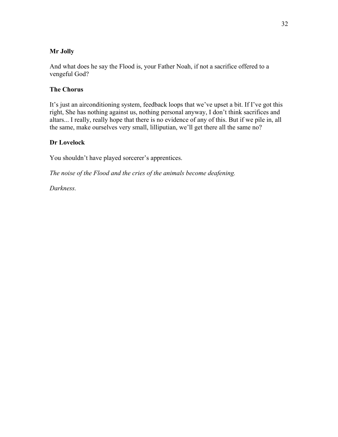# **Mr Jolly**

And what does he say the Flood is, your Father Noah, if not a sacrifice offered to a vengeful God?

#### **The Chorus**

It's just an airconditioning system, feedback loops that we've upset a bit. If I've got this right, She has nothing against us, nothing personal anyway, I don't think sacrifices and altars... I really, really hope that there is no evidence of any of this. But if we pile in, all the same, make ourselves very small, lilliputian, we'll get there all the same no?

#### **Dr Lovelock**

You shouldn't have played sorcerer's apprentices.

*The noise of the Flood and the cries of the animals become deafening.*

*Darkness.*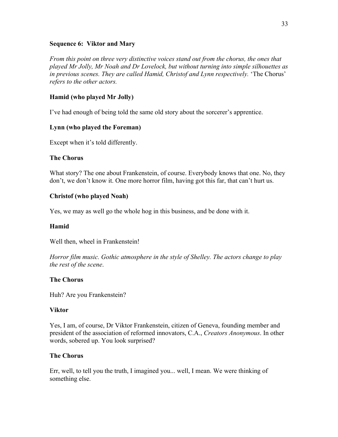#### **Sequence 6: Viktor and Mary**

*From this point on three very distinctive voices stand out from the chorus, the ones that played Mr Jolly, Mr Noah and Dr Lovelock, but without turning into simple silhouettes as in previous scenes. They are called Hamid, Christof and Lynn respectively.* 'The Chorus' *refers to the other actors.*

# **Hamid (who played Mr Jolly)**

I've had enough of being told the same old story about the sorcerer's apprentice.

# **Lynn (who played the Foreman)**

Except when it's told differently.

# **The Chorus**

What story? The one about Frankenstein, of course. Everybody knows that one. No, they don't, we don't know it. One more horror film, having got this far, that can't hurt us.

# **Christof (who played Noah)**

Yes, we may as well go the whole hog in this business, and be done with it.

# **Hamid**

Well then, wheel in Frankenstein!

*Horror film music. Gothic atmosphere in the style of Shelley. The actors change to play the rest of the scene*.

# **The Chorus**

Huh? Are you Frankenstein?

# **Viktor**

Yes, I am, of course, Dr Viktor Frankenstein, citizen of Geneva, founding member and president of the association of reformed innovators, C.A., *Creators Anonymous*. In other words, sobered up. You look surprised?

# **The Chorus**

Err, well, to tell you the truth, I imagined you... well, I mean. We were thinking of something else.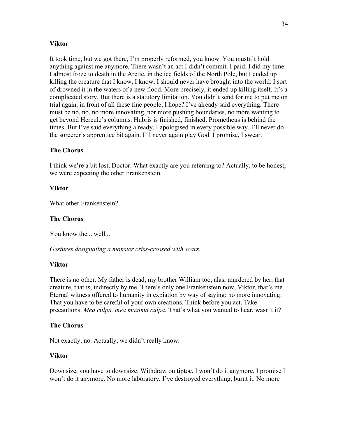#### **Viktor**

It took time, but we got there, I'm properly reformed, you know. You mustn't hold anything against me anymore. There wasn't an act I didn't commit. I paid. I did my time. I almost froze to death in the Arctic, in the ice fields of the North Pole, but I ended up killing the creature that I know, I know, I should never have brought into the world. I sort of drowned it in the waters of a new flood. More precisely, it ended up killing itself. It's a complicated story. But there is a statutory limitation. You didn't send for me to put me on trial again, in front of all these fine people, I hope? I've already said everything. There must be no, no, no more innovating, nor more pushing boundaries, no more wanting to get beyond Hercule's columns. Hubris is finished, finished. Prometheus is behind the times. But I've said everything already. I apologised in every possible way. I'll never do the sorcerer's apprentice bit again. I'll never again play God. I promise, I swear.

### **The Chorus**

I think we're a bit lost, Doctor. What exactly are you referring to? Actually, to be honest, we were expecting the other Frankenstein.

#### **Viktor**

What other Frankenstein?

#### **The Chorus**

You know the... well...

*Gestures designating a monster criss-crossed with scars.*

#### **Viktor**

There is no other. My father is dead, my brother William too, alas, murdered by her, that creature, that is, indirectly by me. There's only one Frankenstein now, Viktor, that's me. Eternal witness offered to humanity in expiation by way of saying: no more innovating. That you have to be careful of your own creations. Think before you act. Take precautions. *Mea culpa, mea maxima culpa*. That's what you wanted to hear, wasn't it?

#### **The Chorus**

Not exactly, no. Actually, we didn't really know.

#### **Viktor**

Downsize, you have to downsize. Withdraw on tiptoe. I won't do it anymore. I promise I won't do it anymore. No more laboratory, I've destroyed everything, burnt it. No more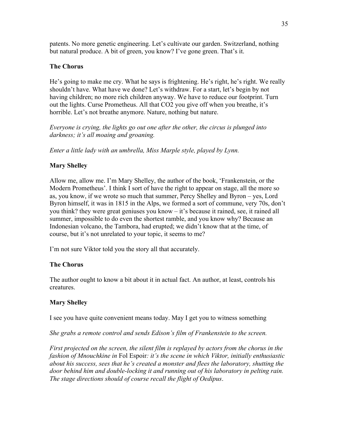patents. No more genetic engineering. Let's cultivate our garden. Switzerland, nothing but natural produce. A bit of green, you know? I've gone green. That's it.

### **The Chorus**

He's going to make me cry. What he says is frightening. He's right, he's right. We really shouldn't have. What have we done? Let's withdraw. For a start, let's begin by not having children; no more rich children anyway. We have to reduce our footprint. Turn out the lights. Curse Prometheus. All that CO2 you give off when you breathe, it's horrible. Let's not breathe anymore. Nature, nothing but nature.

*Everyone is crying, the lights go out one after the other, the circus is plunged into darkness; it's all moaing and groaning.*

*Enter a little lady with an umbrella, Miss Marple style, played by Lynn.*

# **Mary Shelley**

Allow me, allow me. I'm Mary Shelley, the author of the book, 'Frankenstein, or the Modern Prometheus'. I think I sort of have the right to appear on stage, all the more so as, you know, if we wrote so much that summer, Percy Shelley and Byron – yes, Lord Byron himself, it was in 1815 in the Alps, we formed a sort of commune, very 70s, don't you think? they were great geniuses you know – it's because it rained, see, it rained all summer, impossible to do even the shortest ramble, and you know why? Because an Indonesian volcano, the Tambora, had erupted; we didn't know that at the time, of course, but it's not unrelated to your topic, it seems to me?

I'm not sure Viktor told you the story all that accurately.

# **The Chorus**

The author ought to know a bit about it in actual fact. An author, at least, controls his creatures.

# **Mary Shelley**

I see you have quite convenient means today. May I get you to witness something

*She grabs a remote control and sends Edison's film of Frankenstein to the screen.*

*First projected on the screen, the silent film is replayed by actors from the chorus in the fashion of Mnouchkine in* Fol Espoir*: it's the scene in which Viktor, initially enthusiastic about his success, sees that he's created a monster and flees the laboratory, shutting the door behind him and double-locking it and running out of his laboratory in pelting rain. The stage directions should of course recall the flight of Oedipus*.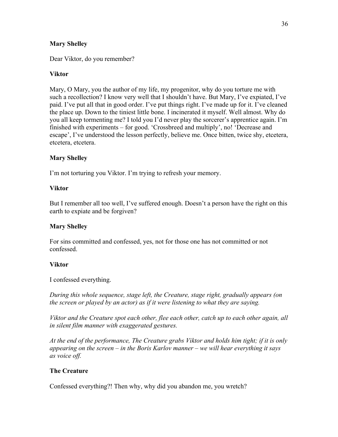### **Mary Shelley**

Dear Viktor, do you remember?

### **Viktor**

Mary, O Mary, you the author of my life, my progenitor, why do you torture me with such a recollection? I know very well that I shouldn't have. But Mary, I've expiated, I've paid. I've put all that in good order. I've put things right. I've made up for it. I've cleaned the place up. Down to the tiniest little bone. I incinerated it myself. Well almost. Why do you all keep tormenting me? I told you I'd never play the sorcerer's apprentice again. I'm finished with experiments – for good. 'Crossbreed and multiply', no! 'Decrease and escape', I've understood the lesson perfectly, believe me. Once bitten, twice shy, etcetera, etcetera, etcetera.

### **Mary Shelley**

I'm not torturing you Viktor. I'm trying to refresh your memory.

### **Viktor**

But I remember all too well, I've suffered enough. Doesn't a person have the right on this earth to expiate and be forgiven?

#### **Mary Shelley**

For sins committed and confessed, yes, not for those one has not committed or not confessed.

#### **Viktor**

I confessed everything.

*During this whole sequence, stage left, the Creature, stage right, gradually appears (on the screen or played by an actor) as if it were listening to what they are saying.*

*Viktor and the Creature spot each other, flee each other, catch up to each other again, all in silent film manner with exaggerated gestures.*

*At the end of the performance, The Creature grabs Viktor and holds him tight; if it is only appearing on the screen – in the Boris Karlov manner – we will hear everything it says as voice off.*

# **The Creature**

Confessed everything?! Then why, why did you abandon me, you wretch?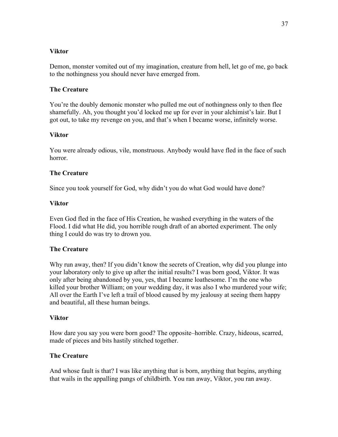#### **Viktor**

Demon, monster vomited out of my imagination, creature from hell, let go of me, go back to the nothingness you should never have emerged from.

### **The Creature**

You're the doubly demonic monster who pulled me out of nothingness only to then flee shamefully. Ah, you thought you'd locked me up for ever in your alchimist's lair. But I got out, to take my revenge on you, and that's when I became worse, infinitely worse.

### **Viktor**

You were already odious, vile, monstruous. Anybody would have fled in the face of such horror.

### **The Creature**

Since you took yourself for God, why didn't you do what God would have done?

#### **Viktor**

Even God fled in the face of His Creation, he washed everything in the waters of the Flood. I did what He did, you horrible rough draft of an aborted experiment. The only thing I could do was try to drown you.

#### **The Creature**

Why run away, then? If you didn't know the secrets of Creation, why did you plunge into your laboratory only to give up after the initial results? I was born good, Viktor. It was only after being abandoned by you, yes, that I became loathesome. I'm the one who killed your brother William; on your wedding day, it was also I who murdered your wife; All over the Earth I've left a trail of blood caused by my jealousy at seeing them happy and beautiful, all these human beings.

#### **Viktor**

How dare you say you were born good? The opposite–horrible. Crazy, hideous, scarred, made of pieces and bits hastily stitched together.

#### **The Creature**

And whose fault is that? I was like anything that is born, anything that begins, anything that wails in the appalling pangs of childbirth. You ran away, Viktor, you ran away.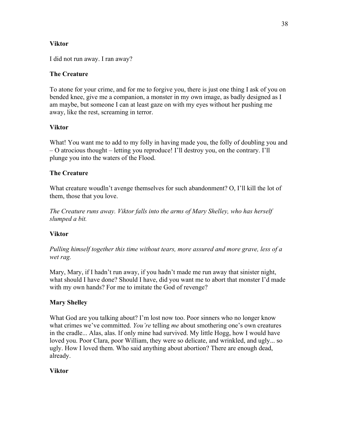# **Viktor**

I did not run away. I ran away?

# **The Creature**

To atone for your crime, and for me to forgive you, there is just one thing I ask of you on bended knee, give me a companion, a monster in my own image, as badly designed as I am maybe, but someone I can at least gaze on with my eyes without her pushing me away, like the rest, screaming in terror.

# **Viktor**

What! You want me to add to my folly in having made you, the folly of doubling you and – O atrocious thought – letting you reproduce! I'll destroy you, on the contrary. I'll plunge you into the waters of the Flood.

# **The Creature**

What creature woudln't avenge themselves for such abandonment? O, I'll kill the lot of them, those that you love.

*The Creature runs away. Viktor falls into the arms of Mary Shelley, who has herself slumped a bit.*

# **Viktor**

*Pulling himself together this time without tears, more assured and more grave, less of a wet rag.*

Mary, Mary, if I hadn't run away, if you hadn't made me run away that sinister night, what should I have done? Should I have, did you want me to abort that monster I'd made with my own hands? For me to imitate the God of revenge?

# **Mary Shelley**

What God are you talking about? I'm lost now too. Poor sinners who no longer know what crimes we've committed. *You're* telling *me* about smothering one's own creatures in the cradle... Alas, alas. If only mine had survived. My little Hogg, how I would have loved you. Poor Clara, poor William, they were so delicate, and wrinkled, and ugly... so ugly. How I loved them. Who said anything about abortion? There are enough dead, already.

# **Viktor**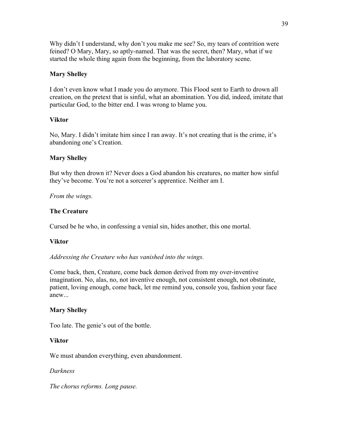Why didn't I understand, why don't you make me see? So, my tears of contrition were feined? O Mary, Mary, so aptly-named. That was the secret, then? Mary, what if we started the whole thing again from the beginning, from the laboratory scene.

### **Mary Shelley**

I don't even know what I made you do anymore. This Flood sent to Earth to drown all creation, on the pretext that is sinful, what an abomination. You did, indeed, imitate that particular God, to the bitter end. I was wrong to blame you.

### **Viktor**

No, Mary. I didn't imitate him since I ran away. It's not creating that is the crime, it's abandoning one's Creation.

### **Mary Shelley**

But why then drown it? Never does a God abandon his creatures, no matter how sinful they've become. You're not a sorcerer's apprentice. Neither am I.

*From the wings.*

### **The Creature**

Cursed be he who, in confessing a venial sin, hides another, this one mortal.

# **Viktor**

*Addressing the Creature who has vanished into the wings.*

Come back, then, Creature, come back demon derived from my over-inventive imagination. No, alas, no, not inventive enough, not consistent enough, not obstinate, patient, loving enough, come back, let me remind you, console you, fashion your face anew...

#### **Mary Shelley**

Too late. The genie's out of the bottle.

#### **Viktor**

We must abandon everything, even abandonment.

#### *Darkness*

*The chorus reforms. Long pause.*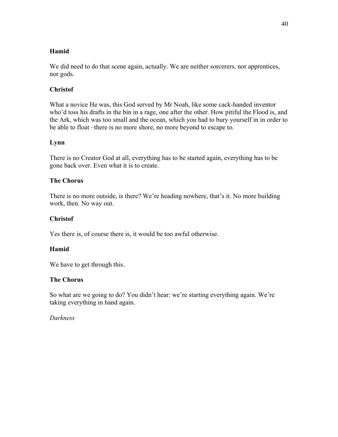# **Hamid**

We did need to do that scene again, actually. We are neither sorcerers, nor apprentices, nor gods.

# **Christof**

What a novice He was, this God served by Mr Noah, like some cack-handed inventor who'd toss his drafts in the bin in a rage, one after the other. How pitiful the Flood is, and the Ark, which was too small and the ocean, which you had to bury yourself in in order to be able to float –there is no more shore, no more beyond to escape to.

# **Lynn**

There is no Creator God at all, everything has to be started again, everything has to be gone back over. Even what it is to create.

### **The Chorus**

There is no more outside, is there? We're heading nowhere, that's it. No more building work, then. No way out.

### **Christof**

Yes there is, of course there is, it would be too awful otherwise.

# **Hamid**

We have to get through this.

#### **The Chorus**

So what are we going to do? You didn't hear: we're starting everything again. We're taking everything in hand again.

#### *Darkness*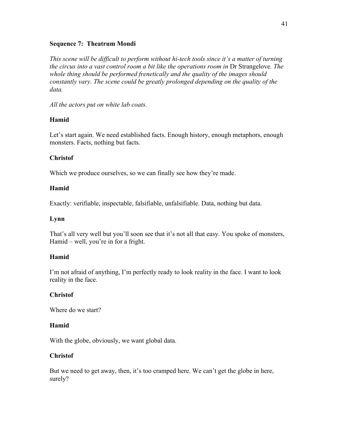#### **Sequence 7: Theatrum Mondi**

*This scene will be difficult to perform without hi-tech tools since it's a matter of turning the circus into a vast control room a bit like the operations room in* Dr Strangelove*. The whole thing should be performed frenetically and the quality of the images should constantly vary. The scene could be greatly prolonged depending on the quality of the data.*

*All the actors put on white lab coats.*

# **Hamid**

Let's start again. We need established facts. Enough history, enough metaphors, enough monsters. Facts, nothing but facts.

# **Christof**

Which we produce ourselves, so we can finally see how they're made.

# **Hamid**

Exactly: verifiable, inspectable, falsifiable, unfalsifiable. Data, nothing but data.

# **Lynn**

That's all very well but you'll soon see that it's not all that easy. You spoke of monsters, Hamid – well, you're in for a fright.

# **Hamid**

I'm not afraid of anything, I'm perfectly ready to look reality in the face. I want to look reality in the face.

# **Christof**

Where do we start?

# **Hamid**

With the globe, obviously, we want global data.

# **Christof**

But we need to get away, then, it's too cramped here. We can't get the globe in here, surely?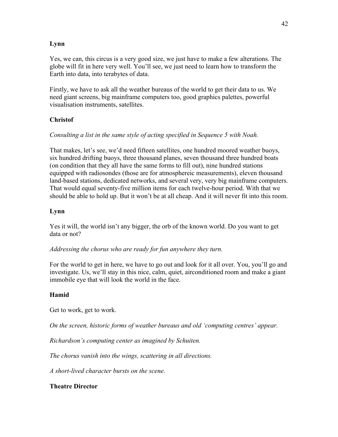# **Lynn**

Yes, we can, this circus is a very good size, we just have to make a few alterations. The globe will fit in here very well. You'll see, we just need to learn how to transform the Earth into data, into terabytes of data.

Firstly, we have to ask all the weather bureaus of the world to get their data to us. We need giant screens, big mainframe computers too, good graphics palettes, powerful visualisation instruments, satellites.

# **Christof**

# *Consulting a list in the same style of acting specified in Sequence 5 with Noah.*

That makes, let's see, we'd need fifteen satellites, one hundred moored weather buoys, six hundred drifting buoys, three thousand planes, seven thousand three hundred boats (on condition that they all have the same forms to fill out), nine hundred stations equipped with radiosondes (those are for atmosphereic measurements), eleven thousand land-based stations, dedicated networks, and several very, very big mainframe computers. That would equal seventy-five million items for each twelve-hour period. With that we should be able to hold up. But it won't be at all cheap. And it will never fit into this room.

# **Lynn**

Yes it will, the world isn't any bigger, the orb of the known world. Do you want to get data or not?

*Addressing the chorus who are ready for fun anywhere they turn.*

For the world to get in here, we have to go out and look for it all over. You, you'll go and investigate. Us, we'll stay in this nice, calm, quiet, airconditioned room and make a giant immobile eye that will look the world in the face.

# **Hamid**

Get to work, get to work.

*On the screen, historic forms of weather bureaus and old 'computing centres' appear.* 

*Richardson's computing center as imagined by Schuiten.*

*The chorus vanish into the wings, scattering in all directions.* 

*A short-lived character bursts on the scene.*

# **Theatre Director**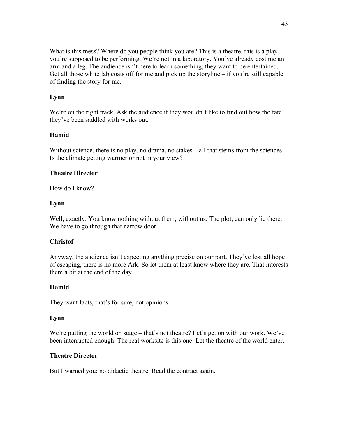What is this mess? Where do you people think you are? This is a theatre, this is a play you're supposed to be performing. We're not in a laboratory. You've already cost me an arm and a leg. The audience isn't here to learn something, they want to be entertained. Get all those white lab coats off for me and pick up the storyline – if you're still capable of finding the story for me.

### **Lynn**

We're on the right track. Ask the audience if they wouldn't like to find out how the fate they've been saddled with works out.

### **Hamid**

Without science, there is no play, no drama, no stakes – all that stems from the sciences. Is the climate getting warmer or not in your view?

### **Theatre Director**

How do I know?

#### **Lynn**

Well, exactly. You know nothing without them, without us. The plot, can only lie there. We have to go through that narrow door.

# **Christof**

Anyway, the audience isn't expecting anything precise on our part. They've lost all hope of escaping, there is no more Ark. So let them at least know where they are. That interests them a bit at the end of the day.

#### **Hamid**

They want facts, that's for sure, not opinions.

#### **Lynn**

We're putting the world on stage – that's not theatre? Let's get on with our work. We've been interrupted enough. The real worksite is this one. Let the theatre of the world enter.

#### **Theatre Director**

But I warned you: no didactic theatre. Read the contract again.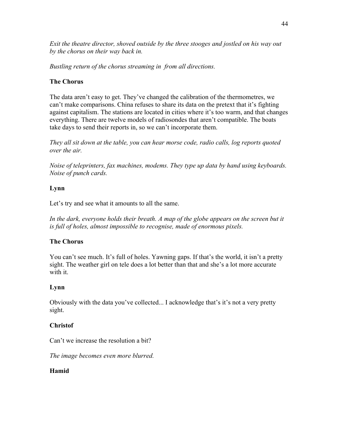*Exit the theatre director, shoved outside by the three stooges and jostled on his way out by the chorus on their way back in.*

*Bustling return of the chorus streaming in from all directions.*

# **The Chorus**

The data aren't easy to get. They've changed the calibration of the thermometres, we can't make comparisons. China refuses to share its data on the pretext that it's fighting against capitalism. The stations are located in cities where it's too warm, and that changes everything. There are twelve models of radiosondes that aren't compatible. The boats take days to send their reports in, so we can't incorporate them.

*They all sit down at the table, you can hear morse code, radio calls, log reports quoted over the air.* 

*Noise of teleprinters, fax machines, modems. They type up data by hand using keyboards. Noise of punch cards.*

# **Lynn**

Let's try and see what it amounts to all the same.

In the dark, everyone holds their breath. A map of the globe appears on the screen but it *is full of holes, almost impossible to recognise, made of enormous pixels.*

# **The Chorus**

You can't see much. It's full of holes. Yawning gaps. If that's the world, it isn't a pretty sight. The weather girl on tele does a lot better than that and she's a lot more accurate with it.

# **Lynn**

Obviously with the data you've collected... I acknowledge that's it's not a very pretty sight.

# **Christof**

Can't we increase the resolution a bit?

*The image becomes even more blurred.*

# **Hamid**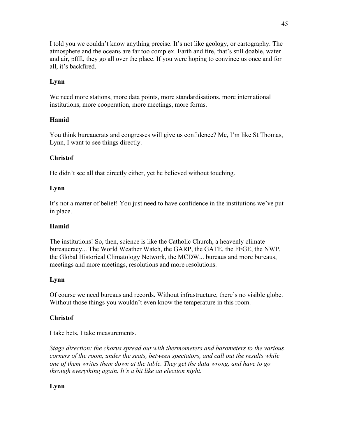I told you we couldn't know anything precise. It's not like geology, or cartography. The atmosphere and the oceans are far too complex. Earth and fire, that's still doable, water and air, pffft, they go all over the place. If you were hoping to convince us once and for all, it's backfired.

# **Lynn**

We need more stations, more data points, more standardisations, more international institutions, more cooperation, more meetings, more forms.

# **Hamid**

You think bureaucrats and congresses will give us confidence? Me, I'm like St Thomas, Lynn, I want to see things directly.

# **Christof**

He didn't see all that directly either, yet he believed without touching.

# **Lynn**

It's not a matter of belief! You just need to have confidence in the institutions we've put in place.

# **Hamid**

The institutions! So, then, science is like the Catholic Church, a heavenly climate bureaucracy... The World Weather Watch, the GARP, the GATE, the FFGE, the NWP, the Global Historical Climatology Network, the MCDW... bureaus and more bureaus, meetings and more meetings, resolutions and more resolutions.

# **Lynn**

Of course we need bureaus and records. Without infrastructure, there's no visible globe. Without those things you wouldn't even know the temperature in this room.

# **Christof**

I take bets, I take measurements.

*Stage direction: the chorus spread out with thermometers and barometers to the various corners of the room, under the seats, between spectators, and call out the results while one of them writes them down at the table. They get the data wrong, and have to go through everything again. It's a bit like an election night.*

# **Lynn**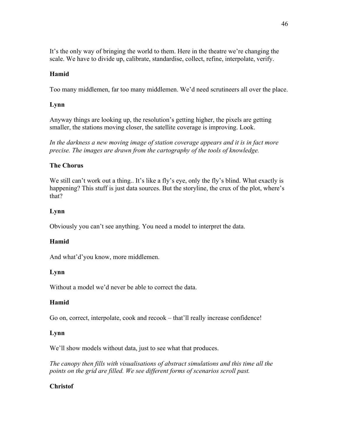It's the only way of bringing the world to them. Here in the theatre we're changing the scale. We have to divide up, calibrate, standardise, collect, refine, interpolate, verify.

# **Hamid**

Too many middlemen, far too many middlemen. We'd need scrutineers all over the place.

# **Lynn**

Anyway things are looking up, the resolution's getting higher, the pixels are getting smaller, the stations moving closer, the satellite coverage is improving. Look.

*In the darkness a new moving image of station coverage appears and it is in fact more precise. The images are drawn from the cartography of the tools of knowledge.*

# **The Chorus**

We still can't work out a thing.. It's like a fly's eye, only the fly's blind. What exactly is happening? This stuff is just data sources. But the storyline, the crux of the plot, where's that?

# **Lynn**

Obviously you can't see anything. You need a model to interpret the data.

# **Hamid**

And what'd'you know, more middlemen.

# **Lynn**

Without a model we'd never be able to correct the data.

# **Hamid**

Go on, correct, interpolate, cook and recook – that'll really increase confidence!

# **Lynn**

We'll show models without data, just to see what that produces.

*The canopy then fills with visualisations of abstract simulations and this time all the points on the grid are filled. We see different forms of scenarios scroll past.*

# **Christof**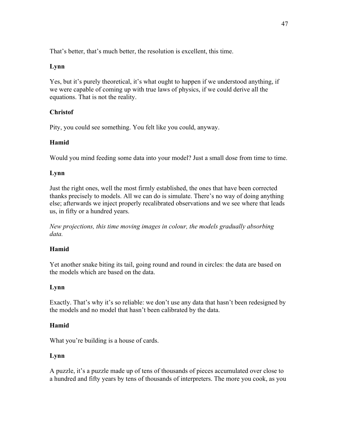That's better, that's much better, the resolution is excellent, this time.

# **Lynn**

Yes, but it's purely theoretical, it's what ought to happen if we understood anything, if we were capable of coming up with true laws of physics, if we could derive all the equations. That is not the reality.

# **Christof**

Pity, you could see something. You felt like you could, anyway.

# **Hamid**

Would you mind feeding some data into your model? Just a small dose from time to time.

# **Lynn**

Just the right ones, well the most firmly established, the ones that have been corrected thanks precisely to models. All we can do is simulate. There's no way of doing anything else; afterwards we inject properly recalibrated observations and we see where that leads us, in fifty or a hundred years.

*New projections, this time moving images in colour, the models gradually absorbing data.*

# **Hamid**

Yet another snake biting its tail, going round and round in circles: the data are based on the models which are based on the data.

# **Lynn**

Exactly. That's why it's so reliable: we don't use any data that hasn't been redesigned by the models and no model that hasn't been calibrated by the data.

# **Hamid**

What you're building is a house of cards.

# **Lynn**

A puzzle, it's a puzzle made up of tens of thousands of pieces accumulated over close to a hundred and fifty years by tens of thousands of interpreters. The more you cook, as you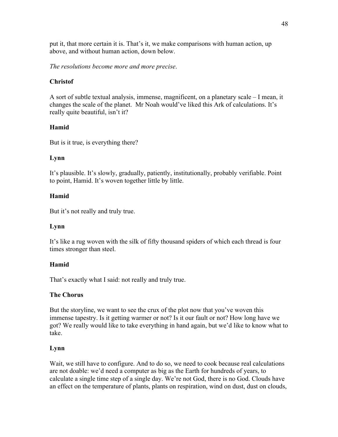put it, that more certain it is. That's it, we make comparisons with human action, up above, and without human action, down below.

*The resolutions become more and more precise*.

# **Christof**

A sort of subtle textual analysis, immense, magnificent, on a planetary scale – I mean, it changes the scale of the planet. Mr Noah would've liked this Ark of calculations. It's really quite beautiful, isn't it?

# **Hamid**

But is it true, is everything there?

# **Lynn**

It's plausible. It's slowly, gradually, patiently, institutionally, probably verifiable. Point to point, Hamid. It's woven together little by little.

# **Hamid**

But it's not really and truly true.

# **Lynn**

It's like a rug woven with the silk of fifty thousand spiders of which each thread is four times stronger than steel.

# **Hamid**

That's exactly what I said: not really and truly true.

# **The Chorus**

But the storyline, we want to see the crux of the plot now that you've woven this immense tapestry. Is it getting warmer or not? Is it our fault or not? How long have we got? We really would like to take everything in hand again, but we'd like to know what to take.

# **Lynn**

Wait, we still have to configure. And to do so, we need to cook because real calculations are not doable: we'd need a computer as big as the Earth for hundreds of years, to calculate a single time step of a single day. We're not God, there is no God. Clouds have an effect on the temperature of plants, plants on respiration, wind on dust, dust on clouds,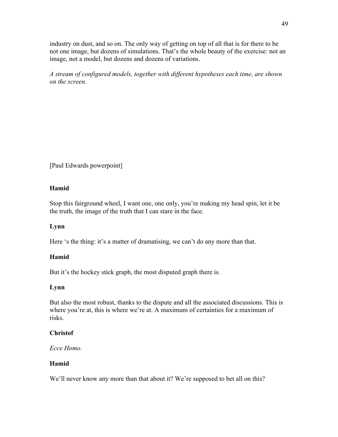industry on dust, and so on. The only way of getting on top of all that is for there to be not one image, but dozens of simulations. That's the whole beauty of the exercise: not an image, not a model, but dozens and dozens of variations.

*A stream of configured models, together with different hypotheses each time, are shown on the screen.*

[Paul Edwards powerpoint]

# **Hamid**

Stop this fairground wheel, I want one, one only, you're making my head spin, let it be the truth, the image of the truth that I can stare in the face.

# **Lynn**

Here 's the thing: it's a matter of dramatising, we can't do any more than that.

# **Hamid**

But it's the hockey stick graph, the most disputed graph there is.

# **Lynn**

But also the most robust, thanks to the dispute and all the associated discussions. This is where you're at, this is where we're at. A maximum of certainties for a maximum of risks.

# **Christof**

*Ecce Homo.*

# **Hamid**

We'll never know any more than that about it? We're supposed to bet all on this?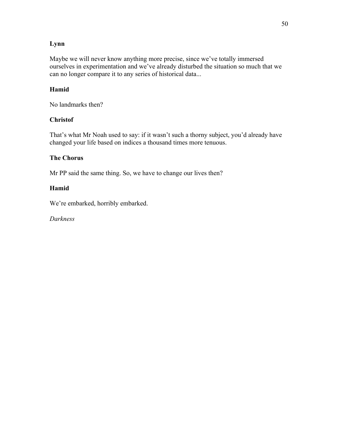# **Lynn**

Maybe we will never know anything more precise, since we've totally immersed ourselves in experimentation and we've already disturbed the situation so much that we can no longer compare it to any series of historical data...

# **Hamid**

No landmarks then?

# **Christof**

That's what Mr Noah used to say: if it wasn't such a thorny subject, you'd already have changed your life based on indices a thousand times more tenuous.

# **The Chorus**

Mr PP said the same thing. So, we have to change our lives then?

# **Hamid**

We're embarked, horribly embarked.

*Darkness*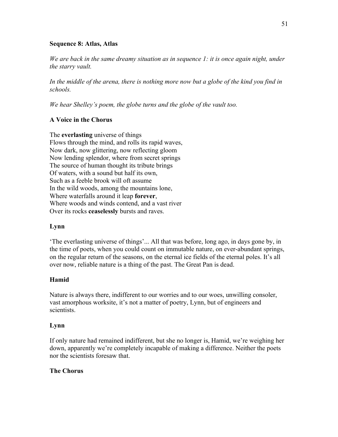#### **Sequence 8: Atlas, Atlas**

*We are back in the same dreamy situation as in sequence 1: it is once again night, under the starry vault.*

In the middle of the arena, there is nothing more now but a globe of the kind you find in *schools.*

*We hear Shelley's poem, the globe turns and the globe of the vault too.*

# **A Voice in the Chorus**

The **everlasting** universe of things Flows through the mind, and rolls its rapid waves, Now dark, now glittering, now reflecting gloom Now lending splendor, where from secret springs The source of human thought its tribute brings Of waters, with a sound but half its own, Such as a feeble brook will oft assume In the wild woods, among the mountains lone, Where waterfalls around it leap **forever**, Where woods and winds contend, and a vast river Over its rocks **ceaselessly** bursts and raves.

#### **Lynn**

'The everlasting universe of things'... All that was before, long ago, in days gone by, in the time of poets, when you could count on immutable nature, on ever-abundant springs, on the regular return of the seasons, on the eternal ice fields of the eternal poles. It's all over now, reliable nature is a thing of the past. The Great Pan is dead.

#### **Hamid**

Nature is always there, indifferent to our worries and to our woes, unwilling consoler, vast amorphous worksite, it's not a matter of poetry, Lynn, but of engineers and scientists.

#### **Lynn**

If only nature had remained indifferent, but she no longer is, Hamid, we're weighing her down, apparently we're completely incapable of making a difference. Neither the poets nor the scientists foresaw that.

#### **The Chorus**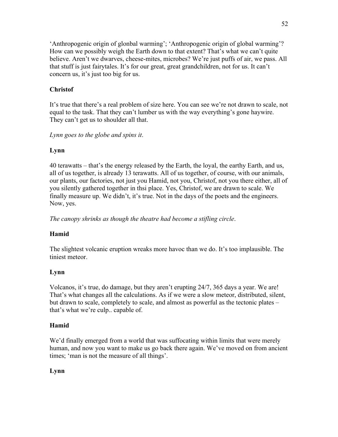'Anthropogenic origin of glonbal warming'; 'Anthropogenic origin of global warming'? How can we possibly weigh the Earth down to that extent? That's what we can't quite believe. Aren't we dwarves, cheese-mites, microbes? We're just puffs of air, we pass. All that stuff is just fairytales. It's for our great, great grandchildren, not for us. It can't concern us, it's just too big for us.

# **Christof**

It's true that there's a real problem of size here. You can see we're not drawn to scale, not equal to the task. That they can't lumber us with the way everything's gone haywire. They can't get us to shoulder all that.

*Lynn goes to the globe and spins it*.

# **Lynn**

40 terawatts – that's the energy released by the Earth, the loyal, the earthy Earth, and us, all of us together, is already 13 terawatts. All of us together, of course, with our animals, our plants, our factories, not just you Hamid, not you, Christof, not you there either, all of you silently gathered together in thsi place. Yes, Christof, we are drawn to scale. We finally measure up. We didn't, it's true. Not in the days of the poets and the engineers. Now, yes.

*The canopy shrinks as though the theatre had become a stifling circle*.

# **Hamid**

The slightest volcanic eruption wreaks more havoc than we do. It's too implausible. The tiniest meteor.

# **Lynn**

Volcanos, it's true, do damage, but they aren't erupting 24/7, 365 days a year. We are! That's what changes all the calculations. As if we were a slow meteor, distributed, silent, but drawn to scale, completely to scale, and almost as powerful as the tectonic plates – that's what we're culp.. capable of.

# **Hamid**

We'd finally emerged from a world that was suffocating within limits that were merely human, and now you want to make us go back there again. We've moved on from ancient times; 'man is not the measure of all things'.

# **Lynn**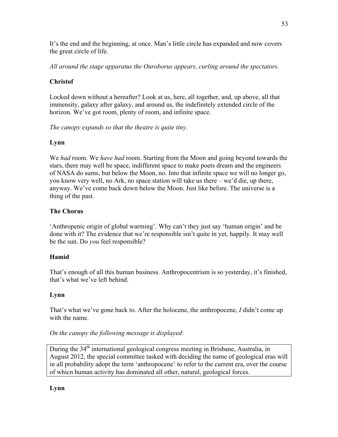It's the end and the beginning, at once. Man's little circle has expanded and now covers the great circle of life.

*All around the stage apparatus the Ouroborus appears, curling around the spectators.*

# **Christof**

Locked down without a hereafter? Look at us, here, all together, and, up above, all that immensity, galaxy after galaxy, and around us, the indefinitely extended circle of the horizon. We've got room, plenty of room, and infinite space.

*The canopy expands so that the theatre is quite tiny*.

# **Lynn**

We *had* room. We *have had* room. Starting from the Moon and going beyond towards the stars, there may well be space, indifferent space to make poets dream and the engineers of NASA do sums, but below the Moon, no. Into that infinite space we will no longer go, you know very well, no Ark, no space station will take us there – we'd die, up there, anyway. We've come back down below the Moon. Just like before. The universe is a thing of the past.

# **The Chorus**

'Anthropenic origin of global warming'. Why can't they just say 'human origin' and be done with it? The evidence that we're responsible isn't quite in yet, happily. It may well be the sun. Do *you* feel responsible?

# **Hamid**

That's enough of all this human business. Anthropocentrism is so yesterday, it's finished, that's what we've left behind.

# **Lynn**

That's what we've gone back to. After the holocene, the anthropocene, *I* didn't come up with the name.

# *On the canopy the following message is displayed*:

During the 34<sup>th</sup> international geological congress meeting in Brisbane, Australia, in August 2012, the special committee tasked with deciding the name of geological eras will in all probability adopt the term 'anthropocene' to refer to the current era, over the course of whicn human activity has dominated all other, natural, geological forces.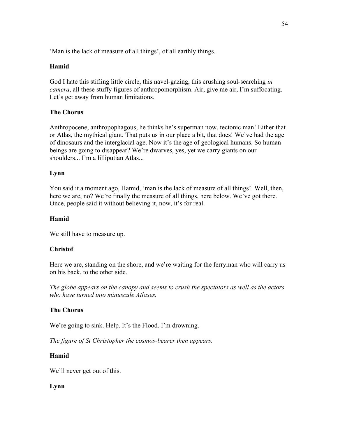'Man is the lack of measure of all things', of all earthly things.

# **Hamid**

God I hate this stifling little circle, this navel-gazing, this crushing soul-searching *in camera*, all these stuffy figures of anthropomorphism. Air, give me air, I'm suffocating. Let's get away from human limitations.

### **The Chorus**

Anthropocene, anthropophagous, he thinks he's superman now, tectonic man! Either that or Atlas, the mythical giant. That puts us in our place a bit, that does! We've had the age of dinosaurs and the interglacial age. Now it's the age of geological humans. So human beings are going to disappear? We're dwarves, yes, yet we carry giants on our shoulders... I'm a lilliputian Atlas...

### **Lynn**

You said it a moment ago, Hamid, 'man is the lack of measure of all things'. Well, then, here we are, no? We're finally the measure of all things, here below. We've got there. Once, people said it without believing it, now, it's for real.

#### **Hamid**

We still have to measure up.

#### **Christof**

Here we are, standing on the shore, and we're waiting for the ferryman who will carry us on his back, to the other side.

*The globe appears on the canopy and seems to crush the spectators as well as the actors who have turned into minuscule Atlases.*

#### **The Chorus**

We're going to sink. Help. It's the Flood. I'm drowning.

*The figure of St Christopher the cosmos-bearer then appears.*

#### **Hamid**

We'll never get out of this.

#### **Lynn**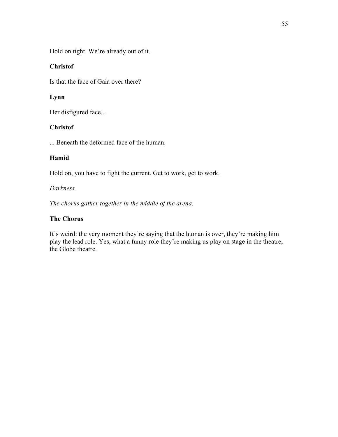Hold on tight. We're already out of it.

### **Christof**

Is that the face of Gaia over there?

# **Lynn**

Her disfigured face...

# **Christof**

... Beneath the deformed face of the human.

# **Hamid**

Hold on, you have to fight the current. Get to work, get to work.

### *Darkness.*

*The chorus gather together in the middle of the arena*.

# **The Chorus**

It's weird: the very moment they're saying that the human is over, they're making him play the lead role. Yes, what a funny role they're making us play on stage in the theatre, the Globe theatre.